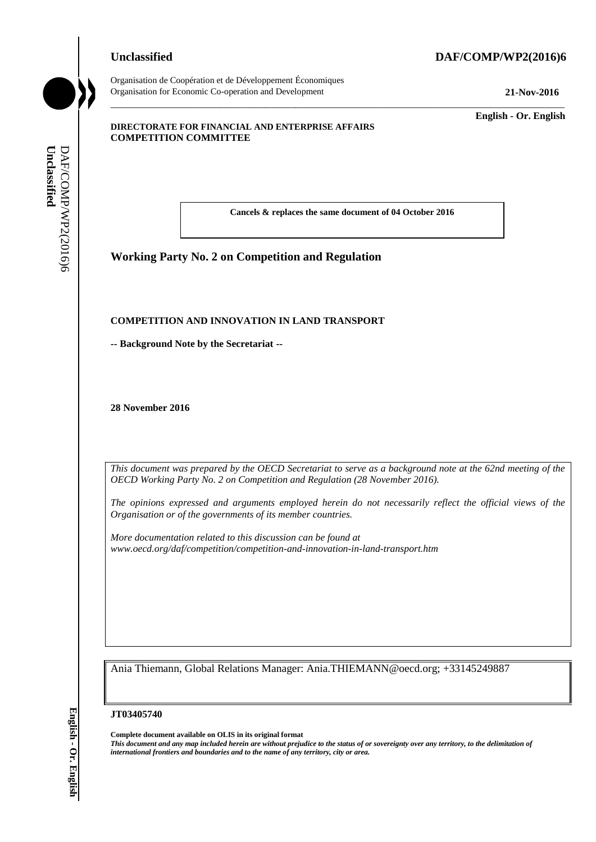# **Unclassified DAF/COMP/WP2(2016)6**



Organisation de Coopération et de Développement Économiques Organisation for Economic Co-operation and Development **21-Nov-2016**

\_\_\_\_\_\_\_\_\_\_\_\_\_ **English - Or. English**

#### **DIRECTORATE FOR FINANCIAL AND ENTERPRISE AFFAIRS COMPETITION COMMITTEE**

**Cancels & replaces the same document of 04 October 2016**

\_\_\_\_\_\_\_\_\_\_\_\_\_\_\_\_\_\_\_\_\_\_\_\_\_\_\_\_\_\_\_\_\_\_\_\_\_\_\_\_\_\_\_\_\_\_\_\_\_\_\_\_\_\_\_\_\_\_\_\_\_\_\_\_\_\_\_\_\_\_\_\_\_\_\_\_\_\_\_\_\_\_\_\_\_\_\_\_\_\_\_

# **Working Party No. 2 on Competition and Regulation**

#### **COMPETITION AND INNOVATION IN LAND TRANSPORT**

**-- Background Note by the Secretariat --**

**28 November 2016**

*This document was prepared by the OECD Secretariat to serve as a background note at the 62nd meeting of the OECD Working Party No. 2 on Competition and Regulation (28 November 2016).*

*The opinions expressed and arguments employed herein do not necessarily reflect the official views of the Organisation or of the governments of its member countries.*

*More documentation related to this discussion can be found at www.oecd.org/daf/competition/competition-and-innovation-in-land-transport.htm*

Ania Thiemann, Global Relations Manager: Ania.THIEMANN@oecd.org; +33145249887

**JT03405740**

**Complete document available on OLIS in its original format** *This document and any map included herein are without prejudice to the status of or sovereignty over any territory, to the delimitation of*  **iii. iii** *iii* **iii iii iii iii iii iii iii iii iii iii iii iii iii iii iii iii iii iii iii iii iii iii iii iii iii iii iii iii iii iii iii iii iii iii**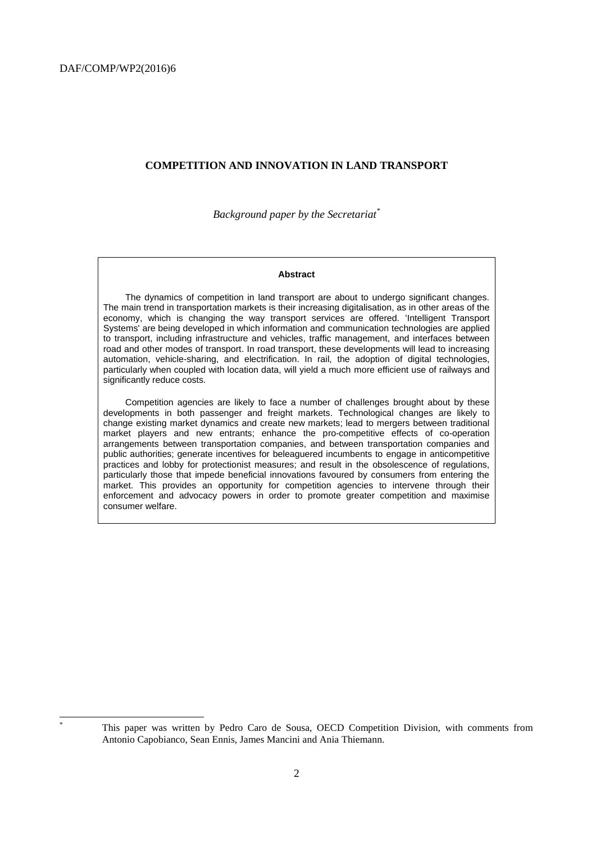#### <span id="page-1-0"></span>**COMPETITION AND INNOVATION IN LAND TRANSPORT**

*Background paper by the Secretariat\**

#### **Abstract**

<span id="page-1-1"></span>The dynamics of competition in land transport are about to undergo significant changes. The main trend in transportation markets is their increasing digitalisation, as in other areas of the economy, which is changing the way transport services are offered. 'Intelligent Transport Systems' are being developed in which information and communication technologies are applied to transport, including infrastructure and vehicles, traffic management, and interfaces between road and other modes of transport. In road transport, these developments will lead to increasing automation, vehicle-sharing, and electrification. In rail, the adoption of digital technologies, particularly when coupled with location data, will yield a much more efficient use of railways and significantly reduce costs.

Competition agencies are likely to face a number of challenges brought about by these developments in both passenger and freight markets. Technological changes are likely to change existing market dynamics and create new markets; lead to mergers between traditional market players and new entrants; enhance the pro-competitive effects of co-operation arrangements between transportation companies, and between transportation companies and public authorities; generate incentives for beleaguered incumbents to engage in anticompetitive practices and lobby for protectionist measures; and result in the obsolescence of regulations, particularly those that impede beneficial innovations favoured by consumers from entering the market. This provides an opportunity for competition agencies to intervene through their enforcement and advocacy powers in order to promote greater competition and maximise consumer welfare.

l

This paper was written by Pedro Caro de Sousa, OECD Competition Division, with comments from Antonio Capobianco, Sean Ennis, James Mancini and Ania Thiemann.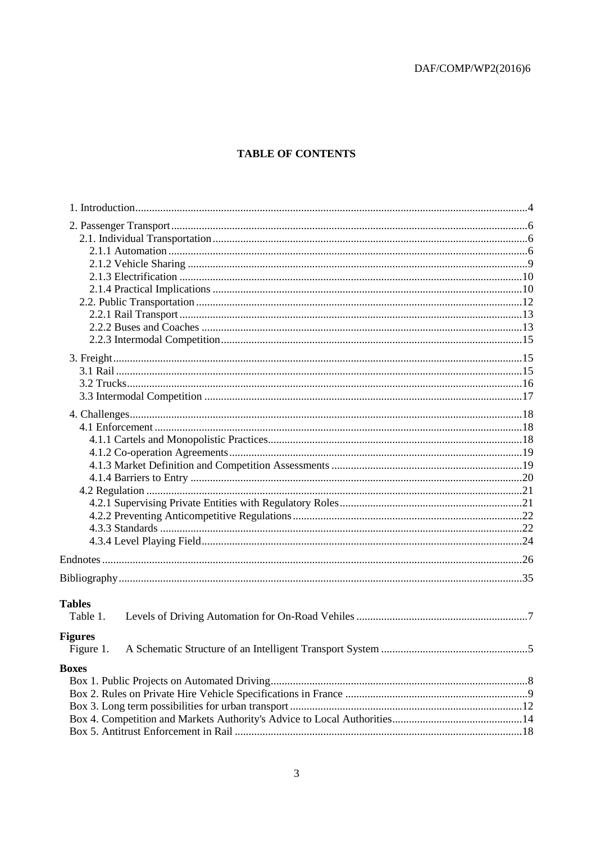# **TABLE OF CONTENTS**

| <b>Tables</b>  |  |
|----------------|--|
| Table 1.       |  |
| <b>Figures</b> |  |
| Figure 1.      |  |
|                |  |
| <b>Boxes</b>   |  |
|                |  |
|                |  |
|                |  |
|                |  |
|                |  |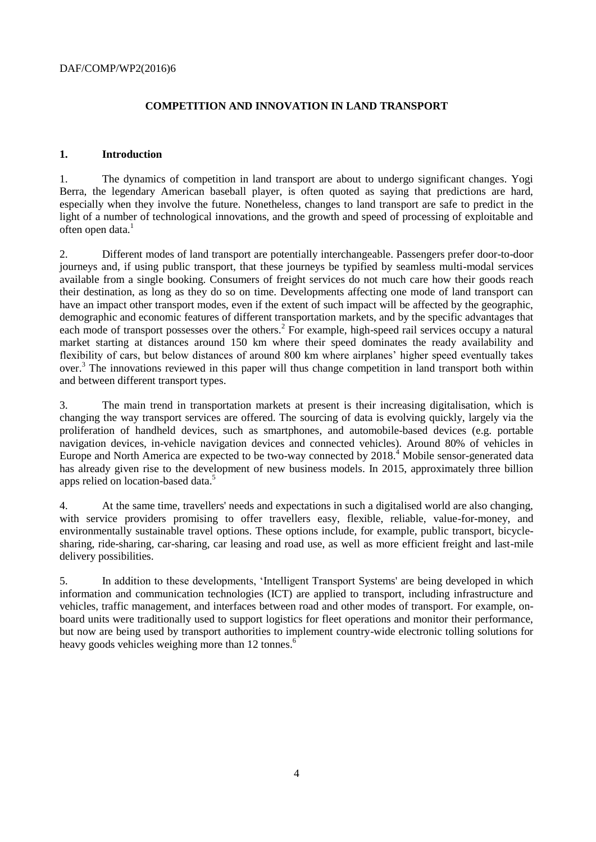# <span id="page-3-0"></span>**COMPETITION AND INNOVATION IN LAND TRANSPORT**

## <span id="page-3-1"></span>**1. Introduction**

1. The dynamics of competition in land transport are about to undergo significant changes. Yogi Berra, the legendary American baseball player, is often quoted as saying that predictions are hard, especially when they involve the future. Nonetheless, changes to land transport are safe to predict in the light of a number of technological innovations, and the growth and speed of processing of exploitable and often open data.<sup>1</sup>

2. Different modes of land transport are potentially interchangeable. Passengers prefer door-to-door journeys and, if using public transport, that these journeys be typified by seamless multi-modal services available from a single booking. Consumers of freight services do not much care how their goods reach their destination, as long as they do so on time. Developments affecting one mode of land transport can have an impact other transport modes, even if the extent of such impact will be affected by the geographic, demographic and economic features of different transportation markets, and by the specific advantages that each mode of transport possesses over the others.<sup>2</sup> For example, high-speed rail services occupy a natural market starting at distances around 150 km where their speed dominates the ready availability and flexibility of cars, but below distances of around 800 km where airplanes' higher speed eventually takes over.<sup>3</sup> The innovations reviewed in this paper will thus change competition in land transport both within and between different transport types.

3. The main trend in transportation markets at present is their increasing digitalisation, which is changing the way transport services are offered. The sourcing of data is evolving quickly, largely via the proliferation of handheld devices, such as smartphones, and automobile-based devices (e.g. portable navigation devices, in-vehicle navigation devices and connected vehicles). Around 80% of vehicles in Europe and North America are expected to be two-way connected by 2018.<sup>4</sup> Mobile sensor-generated data has already given rise to the development of new business models. In 2015, approximately three billion apps relied on location-based data.<sup>5</sup>

4. At the same time, travellers' needs and expectations in such a digitalised world are also changing, with service providers promising to offer travellers easy, flexible, reliable, value-for-money, and environmentally sustainable travel options. These options include, for example, public transport, bicyclesharing, ride-sharing, car-sharing, car leasing and road use, as well as more efficient freight and last-mile delivery possibilities.

5. In addition to these developments, 'Intelligent Transport Systems' are being developed in which information and communication technologies (ICT) are applied to transport, including infrastructure and vehicles, traffic management, and interfaces between road and other modes of transport. For example, onboard units were traditionally used to support logistics for fleet operations and monitor their performance, but now are being used by transport authorities to implement country-wide electronic tolling solutions for heavy goods vehicles weighing more than 12 tonnes.<sup>6</sup>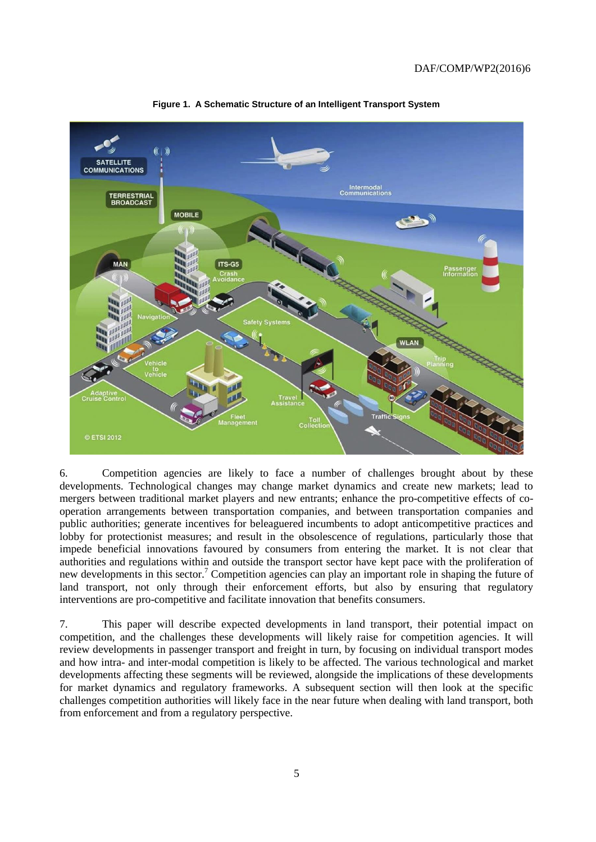

<span id="page-4-0"></span>**Figure 1. A Schematic Structure of an Intelligent Transport System**

6. Competition agencies are likely to face a number of challenges brought about by these developments. Technological changes may change market dynamics and create new markets; lead to mergers between traditional market players and new entrants; enhance the pro-competitive effects of cooperation arrangements between transportation companies, and between transportation companies and public authorities; generate incentives for beleaguered incumbents to adopt anticompetitive practices and lobby for protectionist measures; and result in the obsolescence of regulations, particularly those that impede beneficial innovations favoured by consumers from entering the market. It is not clear that authorities and regulations within and outside the transport sector have kept pace with the proliferation of new developments in this sector.<sup>7</sup> Competition agencies can play an important role in shaping the future of land transport, not only through their enforcement efforts, but also by ensuring that regulatory interventions are pro-competitive and facilitate innovation that benefits consumers.

7. This paper will describe expected developments in land transport, their potential impact on competition, and the challenges these developments will likely raise for competition agencies. It will review developments in passenger transport and freight in turn, by focusing on individual transport modes and how intra- and inter-modal competition is likely to be affected. The various technological and market developments affecting these segments will be reviewed, alongside the implications of these developments for market dynamics and regulatory frameworks. A subsequent section will then look at the specific challenges competition authorities will likely face in the near future when dealing with land transport, both from enforcement and from a regulatory perspective.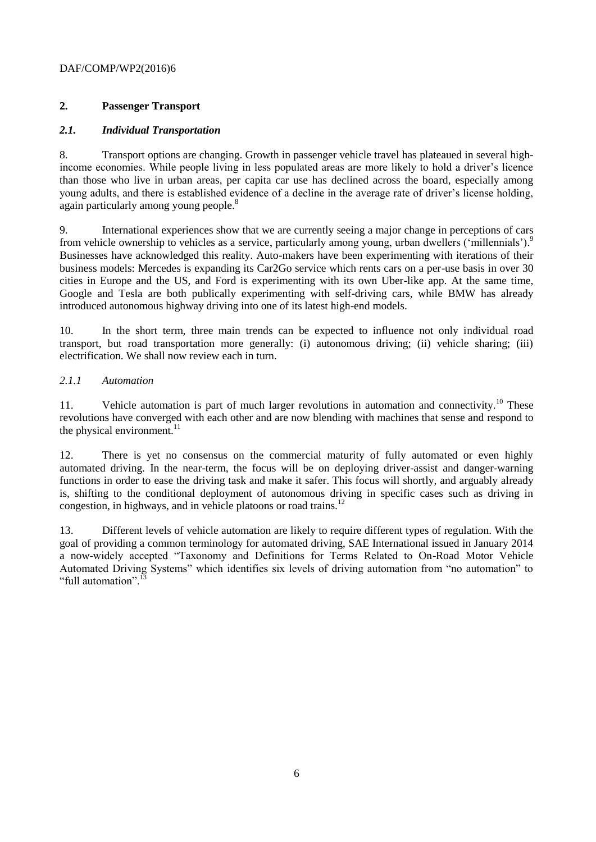# <span id="page-5-0"></span>**2. Passenger Transport**

# <span id="page-5-1"></span>*2.1. Individual Transportation*

8. Transport options are changing. Growth in passenger vehicle travel has plateaued in several highincome economies. While people living in less populated areas are more likely to hold a driver's licence than those who live in urban areas, per capita car use has declined across the board, especially among young adults, and there is established evidence of a decline in the average rate of driver's license holding, again particularly among young people.<sup>8</sup>

9. International experiences show that we are currently seeing a major change in perceptions of cars from vehicle ownership to vehicles as a service, particularly among young, urban dwellers ('millennials').<sup>9</sup> Businesses have acknowledged this reality. Auto-makers have been experimenting with iterations of their business models: Mercedes is expanding its Car2Go service which rents cars on a per-use basis in over 30 cities in Europe and the US, and Ford is experimenting with its own Uber-like app. At the same time, Google and Tesla are both publically experimenting with self-driving cars, while BMW has already introduced autonomous highway driving into one of its latest high-end models.

10. In the short term, three main trends can be expected to influence not only individual road transport, but road transportation more generally: (i) autonomous driving; (ii) vehicle sharing; (iii) electrification. We shall now review each in turn.

# <span id="page-5-2"></span>*2.1.1 Automation*

11. Vehicle automation is part of much larger revolutions in automation and connectivity.<sup>10</sup> These revolutions have converged with each other and are now blending with machines that sense and respond to the physical environment. $11$ 

12. There is yet no consensus on the commercial maturity of fully automated or even highly automated driving. In the near-term, the focus will be on deploying driver-assist and danger-warning functions in order to ease the driving task and make it safer. This focus will shortly, and arguably already is, shifting to the conditional deployment of autonomous driving in specific cases such as driving in congestion, in highways, and in vehicle platoons or road trains.<sup>12</sup>

13. Different levels of vehicle automation are likely to require different types of regulation. With the goal of providing a common terminology for automated driving, SAE International issued in January 2014 a now-widely accepted "Taxonomy and Definitions for Terms Related to On-Road Motor Vehicle Automated Driving Systems" which identifies six levels of driving automation from "no automation" to "full automation".<sup>1</sup>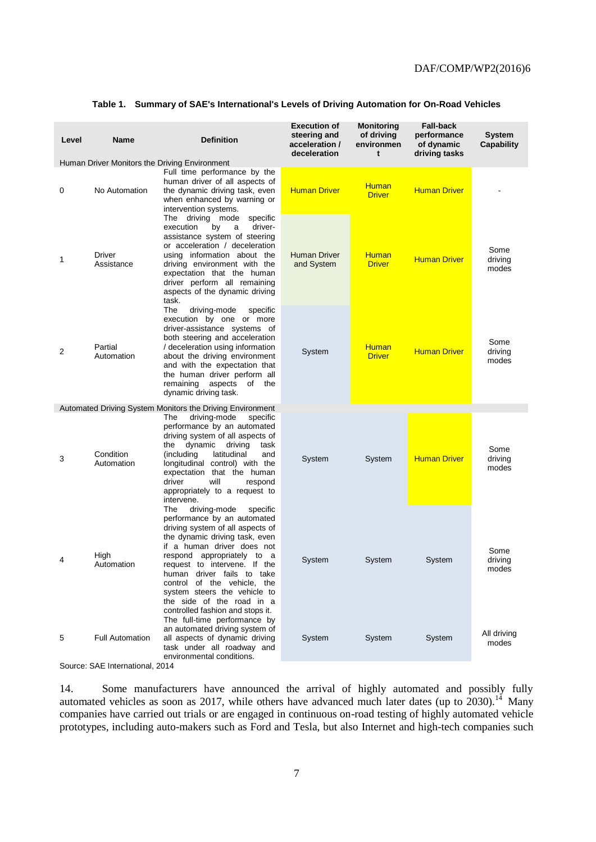<span id="page-6-0"></span>

|  |  |  |  |  |  | Table 1. Summary of SAE's International's Levels of Driving Automation for On-Road Vehicles |
|--|--|--|--|--|--|---------------------------------------------------------------------------------------------|
|--|--|--|--|--|--|---------------------------------------------------------------------------------------------|

| Level | <b>Name</b>             | <b>Definition</b>                                                                                                                                                                                                                                                                                                                                                                                                              | <b>Execution of</b><br>steering and<br>acceleration /<br>deceleration | <b>Monitoring</b><br>of driving<br>environmen<br>t | <b>Fall-back</b><br>performance<br>of dynamic<br>driving tasks | <b>System</b><br><b>Capability</b> |
|-------|-------------------------|--------------------------------------------------------------------------------------------------------------------------------------------------------------------------------------------------------------------------------------------------------------------------------------------------------------------------------------------------------------------------------------------------------------------------------|-----------------------------------------------------------------------|----------------------------------------------------|----------------------------------------------------------------|------------------------------------|
| 0     | No Automation           | Human Driver Monitors the Driving Environment<br>Full time performance by the<br>human driver of all aspects of<br>the dynamic driving task, even<br>when enhanced by warning or<br>intervention systems.                                                                                                                                                                                                                      | <b>Human Driver</b>                                                   | <b>Human</b><br><b>Driver</b>                      | <b>Human Driver</b>                                            |                                    |
| 1     | Driver<br>Assistance    | The driving mode<br>specific<br>driver-<br>execution<br>by<br>a<br>assistance system of steering<br>or acceleration / deceleration<br>using information about the<br>driving environment with the<br>expectation that the human<br>driver perform all remaining<br>aspects of the dynamic driving<br>task.                                                                                                                     | <b>Human Driver</b><br>and System                                     | <b>Human</b><br><b>Driver</b>                      | <b>Human Driver</b>                                            | Some<br>driving<br>modes           |
| 2     | Partial<br>Automation   | The<br>driving-mode<br>specific<br>execution by one or more<br>driver-assistance systems of<br>both steering and acceleration<br>/ deceleration using information<br>about the driving environment<br>and with the expectation that<br>the human driver perform all<br>remaining<br>aspects of the<br>dynamic driving task.                                                                                                    | System                                                                | <b>Human</b><br><b>Driver</b>                      | <b>Human Driver</b>                                            | Some<br>driving<br>modes           |
|       |                         | Automated Driving System Monitors the Driving Environment                                                                                                                                                                                                                                                                                                                                                                      |                                                                       |                                                    |                                                                |                                    |
| 3     | Condition<br>Automation | driving-mode<br>specific<br>The<br>performance by an automated<br>driving system of all aspects of<br>dynamic<br>driving<br>task<br>the<br>latitudinal<br>(including<br>and<br>longitudinal control) with the<br>expectation that the human<br>driver<br>will<br>respond<br>appropriately to a request to<br>intervene.                                                                                                        | System                                                                | System                                             | <b>Human Driver</b>                                            | Some<br>driving<br>modes           |
| 4     | High<br>Automation      | driving-mode<br>The<br>specific<br>performance by an automated<br>driving system of all aspects of<br>the dynamic driving task, even<br>if a human driver does not<br>respond appropriately to a<br>request to intervene. If the<br>human driver fails to take<br>control of the vehicle, the<br>system steers the vehicle to<br>the side of the road in a<br>controlled fashion and stops it.<br>The full-time performance by | System                                                                | System                                             | System                                                         | Some<br>driving<br>modes           |
| 5     | <b>Full Automation</b>  | an automated driving system of<br>all aspects of dynamic driving<br>task under all roadway and<br>environmental conditions.                                                                                                                                                                                                                                                                                                    | System                                                                | System                                             | System                                                         | All driving<br>modes               |

Source: SAE International, 2014

14. Some manufacturers have announced the arrival of highly automated and possibly fully automated vehicles as soon as 2017, while others have advanced much later dates (up to  $2030$ ).<sup>14</sup> Many companies have carried out trials or are engaged in continuous on-road testing of highly automated vehicle prototypes, including auto-makers such as Ford and Tesla, but also Internet and high-tech companies such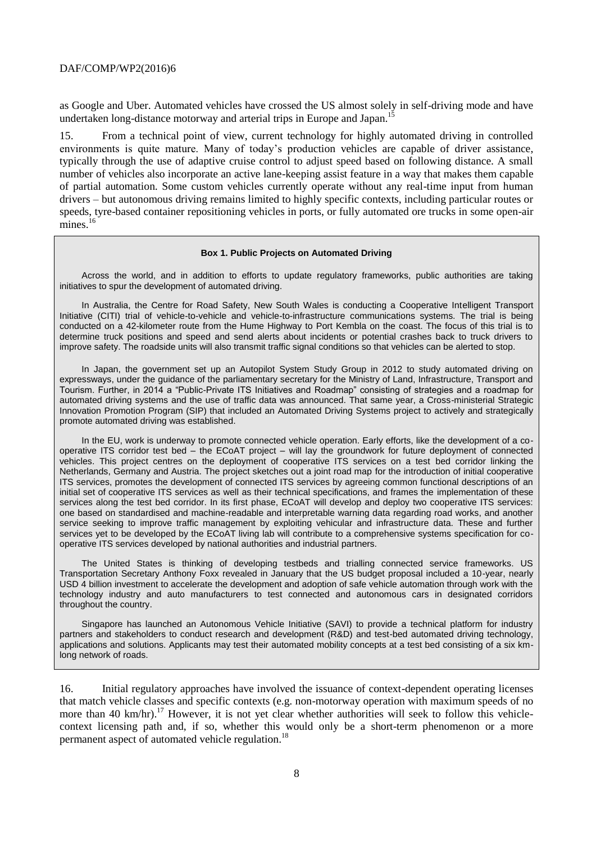as Google and Uber. Automated vehicles have crossed the US almost solely in self-driving mode and have undertaken long-distance motorway and arterial trips in Europe and Japan.<sup>1</sup>

15. From a technical point of view, current technology for highly automated driving in controlled environments is quite mature. Many of today's production vehicles are capable of driver assistance, typically through the use of adaptive cruise control to adjust speed based on following distance. A small number of vehicles also incorporate an active lane-keeping assist feature in a way that makes them capable of partial automation. Some custom vehicles currently operate without any real-time input from human drivers – but autonomous driving remains limited to highly specific contexts, including particular routes or speeds, tyre-based container repositioning vehicles in ports, or fully automated ore trucks in some open-air  $\rm{mines.}^{16}$ 

#### **Box 1. Public Projects on Automated Driving**

Across the world, and in addition to efforts to update regulatory frameworks, public authorities are taking initiatives to spur the development of automated driving.

In Australia, the Centre for Road Safety, New South Wales is conducting a Cooperative Intelligent Transport Initiative (CITI) trial of vehicle-to-vehicle and vehicle-to-infrastructure communications systems. The trial is being conducted on a 42-kilometer route from the Hume Highway to Port Kembla on the coast. The focus of this trial is to determine truck positions and speed and send alerts about incidents or potential crashes back to truck drivers to improve safety. The roadside units will also transmit traffic signal conditions so that vehicles can be alerted to stop.

In Japan, the government set up an Autopilot System Study Group in 2012 to study automated driving on expressways, under the guidance of the parliamentary secretary for the Ministry of Land, Infrastructure, Transport and Tourism. Further, in 2014 a "Public-Private ITS Initiatives and Roadmap" consisting of strategies and a roadmap for automated driving systems and the use of traffic data was announced. That same year, a Cross-ministerial Strategic Innovation Promotion Program (SIP) that included an Automated Driving Systems project to actively and strategically promote automated driving was established.

In the EU, work is underway to promote connected vehicle operation. Early efforts, like the development of a cooperative ITS corridor test bed – the ECoAT project – will lay the groundwork for future deployment of connected vehicles. This project centres on the deployment of cooperative ITS services on a test bed corridor linking the Netherlands, Germany and Austria. The project sketches out a joint road map for the introduction of initial cooperative ITS services, promotes the development of connected ITS services by agreeing common functional descriptions of an initial set of cooperative ITS services as well as their technical specifications, and frames the implementation of these services along the test bed corridor. In its first phase, ECoAT will develop and deploy two cooperative ITS services: one based on standardised and machine-readable and interpretable warning data regarding road works, and another service seeking to improve traffic management by exploiting vehicular and infrastructure data. These and further services yet to be developed by the ECoAT living lab will contribute to a comprehensive systems specification for cooperative ITS services developed by national authorities and industrial partners.

The United States is thinking of developing testbeds and trialling connected service frameworks. US Transportation Secretary Anthony Foxx revealed in January that the US budget proposal included a 10-year, nearly USD 4 billion investment to accelerate the development and adoption of safe vehicle automation through work with the technology industry and auto manufacturers to test connected and autonomous cars in designated corridors throughout the country.

Singapore has launched an Autonomous Vehicle Initiative (SAVI) to provide a technical platform for industry partners and stakeholders to conduct research and development (R&D) and test-bed automated driving technology, applications and solutions. Applicants may test their automated mobility concepts at a test bed consisting of a six kmlong network of roads.

16. Initial regulatory approaches have involved the issuance of context-dependent operating licenses that match vehicle classes and specific contexts (e.g. non-motorway operation with maximum speeds of no more than 40 km/hr).<sup>17</sup> However, it is not yet clear whether authorities will seek to follow this vehiclecontext licensing path and, if so, whether this would only be a short-term phenomenon or a more permanent aspect of automated vehicle regulation.<sup>18</sup>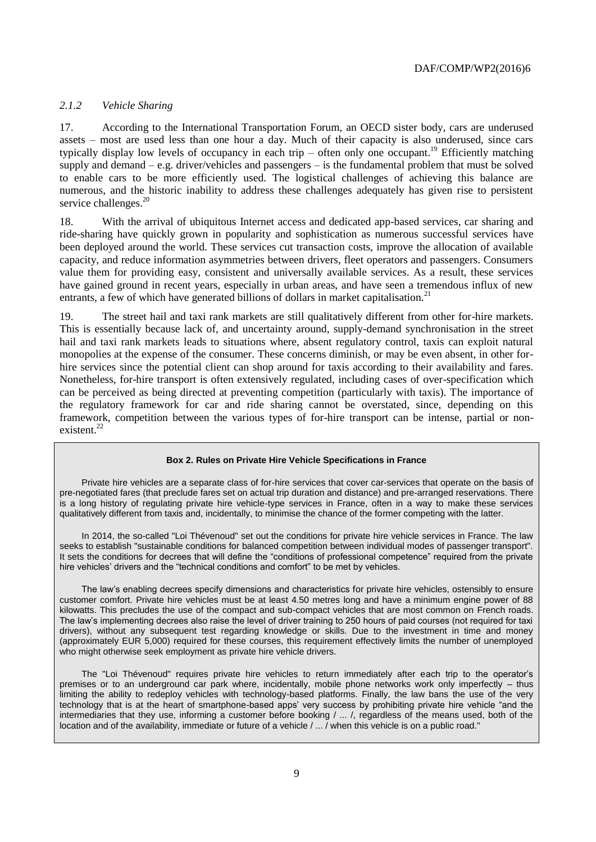# <span id="page-8-0"></span>*2.1.2 Vehicle Sharing*

17. According to the International Transportation Forum, an OECD sister body, cars are underused assets – most are used less than one hour a day. Much of their capacity is also underused, since cars typically display low levels of occupancy in each trip – often only one occupant.<sup>19</sup> Efficiently matching supply and demand – e.g. driver/vehicles and passengers – is the fundamental problem that must be solved to enable cars to be more efficiently used. The logistical challenges of achieving this balance are numerous, and the historic inability to address these challenges adequately has given rise to persistent service challenges.<sup>20</sup>

18. With the arrival of ubiquitous Internet access and dedicated app-based services, car sharing and ride-sharing have quickly grown in popularity and sophistication as numerous successful services have been deployed around the world. These services cut transaction costs, improve the allocation of available capacity, and reduce information asymmetries between drivers, fleet operators and passengers. Consumers value them for providing easy, consistent and universally available services. As a result, these services have gained ground in recent years, especially in urban areas, and have seen a tremendous influx of new entrants, a few of which have generated billions of dollars in market capitalisation.<sup>21</sup>

19. The street hail and taxi rank markets are still qualitatively different from other for-hire markets. This is essentially because lack of, and uncertainty around, supply-demand synchronisation in the street hail and taxi rank markets leads to situations where, absent regulatory control, taxis can exploit natural monopolies at the expense of the consumer. These concerns diminish, or may be even absent, in other forhire services since the potential client can shop around for taxis according to their availability and fares. Nonetheless, for-hire transport is often extensively regulated, including cases of over-specification which can be perceived as being directed at preventing competition (particularly with taxis). The importance of the regulatory framework for car and ride sharing cannot be overstated, since, depending on this framework, competition between the various types of for-hire transport can be intense, partial or nonexistent.<sup>22</sup>

#### **Box 2. Rules on Private Hire Vehicle Specifications in France**

Private hire vehicles are a separate class of for-hire services that cover car-services that operate on the basis of pre-negotiated fares (that preclude fares set on actual trip duration and distance) and pre-arranged reservations. There is a long history of regulating private hire vehicle-type services in France, often in a way to make these services qualitatively different from taxis and, incidentally, to minimise the chance of the former competing with the latter.

In 2014, the so-called "Loi Thévenoud" set out the conditions for private hire vehicle services in France. The law seeks to establish "sustainable conditions for balanced competition between individual modes of passenger transport". It sets the conditions for decrees that will define the "conditions of professional competence" required from the private hire vehicles' drivers and the "technical conditions and comfort" to be met by vehicles.

The law's enabling decrees specify dimensions and characteristics for private hire vehicles, ostensibly to ensure customer comfort. Private hire vehicles must be at least 4.50 metres long and have a minimum engine power of 88 kilowatts. This precludes the use of the compact and sub-compact vehicles that are most common on French roads. The law's implementing decrees also raise the level of driver training to 250 hours of paid courses (not required for taxi drivers), without any subsequent test regarding knowledge or skills. Due to the investment in time and money (approximately EUR 5,000) required for these courses, this requirement effectively limits the number of unemployed who might otherwise seek employment as private hire vehicle drivers.

The "Loi Thévenoud" requires private hire vehicles to return immediately after each trip to the operator's premises or to an underground car park where, incidentally, mobile phone networks work only imperfectly – thus limiting the ability to redeploy vehicles with technology-based platforms. Finally, the law bans the use of the very technology that is at the heart of smartphone-based apps' very success by prohibiting private hire vehicle "and the intermediaries that they use, informing a customer before booking / ... /, regardless of the means used, both of the location and of the availability, immediate or future of a vehicle / ... / when this vehicle is on a public road."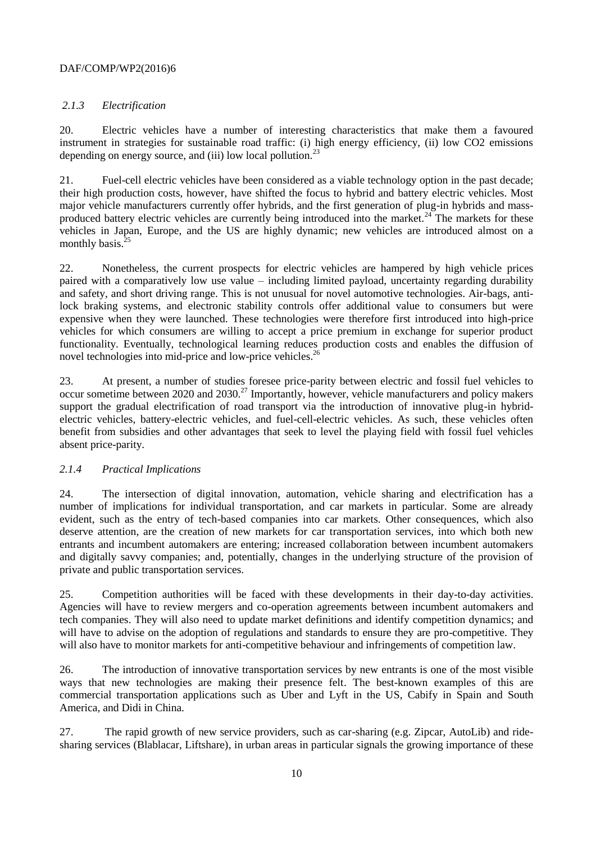# <span id="page-9-0"></span>*2.1.3 Electrification*

20. Electric vehicles have a number of interesting characteristics that make them a favoured instrument in strategies for sustainable road traffic: (i) high energy efficiency, (ii) low CO2 emissions depending on energy source, and (iii) low local pollution.<sup>23</sup>

21. Fuel-cell electric vehicles have been considered as a viable technology option in the past decade; their high production costs, however, have shifted the focus to hybrid and battery electric vehicles. Most major vehicle manufacturers currently offer hybrids, and the first generation of plug-in hybrids and massproduced battery electric vehicles are currently being introduced into the market.<sup>24</sup> The markets for these vehicles in Japan, Europe, and the US are highly dynamic; new vehicles are introduced almost on a monthly basis. $25$ 

22. Nonetheless, the current prospects for electric vehicles are hampered by high vehicle prices paired with a comparatively low use value – including limited payload, uncertainty regarding durability and safety, and short driving range. This is not unusual for novel automotive technologies. Air-bags, antilock braking systems, and electronic stability controls offer additional value to consumers but were expensive when they were launched. These technologies were therefore first introduced into high-price vehicles for which consumers are willing to accept a price premium in exchange for superior product functionality. Eventually, technological learning reduces production costs and enables the diffusion of novel technologies into mid-price and low-price vehicles.<sup>26</sup>

23. At present, a number of studies foresee price-parity between electric and fossil fuel vehicles to occur sometime between 2020 and 2030.<sup>27</sup> Importantly, however, vehicle manufacturers and policy makers support the gradual electrification of road transport via the introduction of innovative plug-in hybridelectric vehicles, battery-electric vehicles, and fuel-cell-electric vehicles. As such, these vehicles often benefit from subsidies and other advantages that seek to level the playing field with fossil fuel vehicles absent price-parity.

## <span id="page-9-1"></span>*2.1.4 Practical Implications*

24. The intersection of digital innovation, automation, vehicle sharing and electrification has a number of implications for individual transportation, and car markets in particular. Some are already evident, such as the entry of tech-based companies into car markets. Other consequences, which also deserve attention, are the creation of new markets for car transportation services, into which both new entrants and incumbent automakers are entering; increased collaboration between incumbent automakers and digitally savvy companies; and, potentially, changes in the underlying structure of the provision of private and public transportation services.

25. Competition authorities will be faced with these developments in their day-to-day activities. Agencies will have to review mergers and co-operation agreements between incumbent automakers and tech companies. They will also need to update market definitions and identify competition dynamics; and will have to advise on the adoption of regulations and standards to ensure they are pro-competitive. They will also have to monitor markets for anti-competitive behaviour and infringements of competition law.

26. The introduction of innovative transportation services by new entrants is one of the most visible ways that new technologies are making their presence felt. The best-known examples of this are commercial transportation applications such as Uber and Lyft in the US, Cabify in Spain and South America, and Didi in China.

27. The rapid growth of new service providers, such as car-sharing (e.g. Zipcar, AutoLib) and ridesharing services (Blablacar, Liftshare), in urban areas in particular signals the growing importance of these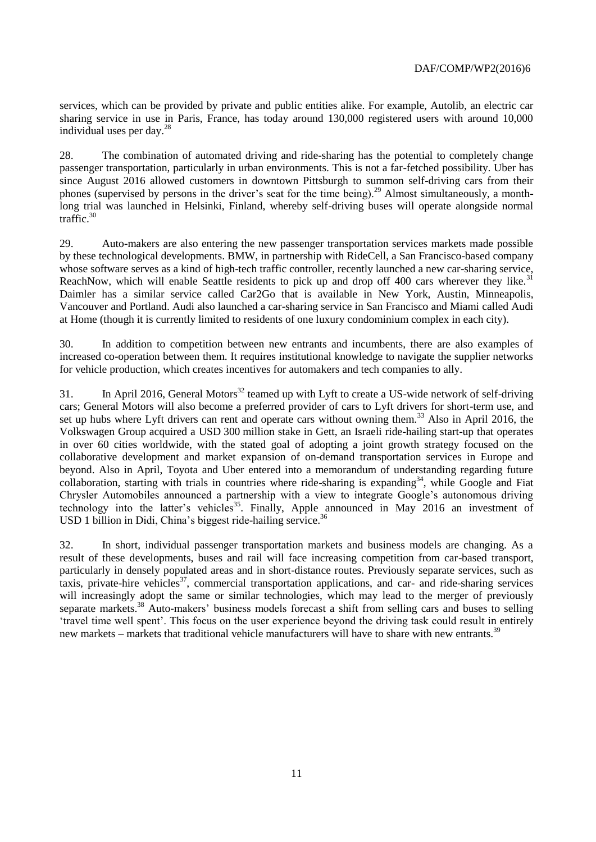services, which can be provided by private and public entities alike. For example, Autolib, an electric car sharing service in use in Paris, France, has today around 130,000 registered users with around 10,000 individual uses per day. $^{28}$ 

28. The combination of automated driving and ride-sharing has the potential to completely change passenger transportation, particularly in urban environments. This is not a far-fetched possibility. Uber has since August 2016 allowed customers in downtown Pittsburgh to summon self-driving cars from their phones (supervised by persons in the driver's seat for the time being).<sup>29</sup> Almost simultaneously, a monthlong trial was launched in Helsinki, Finland, whereby self-driving buses will operate alongside normal traffic.<sup>30</sup>

29. Auto-makers are also entering the new passenger transportation services markets made possible by these technological developments. BMW, in partnership with RideCell, a San Francisco-based company whose software serves as a kind of high-tech traffic controller, recently launched a new car-sharing service, ReachNow, which will enable Seattle residents to pick up and drop off 400 cars wherever they like.<sup>3</sup> Daimler has a similar service called Car2Go that is available in New York, Austin, Minneapolis, Vancouver and Portland. Audi also launched a car-sharing service in San Francisco and Miami called Audi at Home (though it is currently limited to residents of one luxury condominium complex in each city).

30. In addition to competition between new entrants and incumbents, there are also examples of increased co-operation between them. It requires institutional knowledge to navigate the supplier networks for vehicle production, which creates incentives for automakers and tech companies to ally.

31. In April 2016, General Motors<sup>32</sup> teamed up with Lyft to create a US-wide network of self-driving cars; General Motors will also become a preferred provider of cars to Lyft drivers for short-term use, and set up hubs where Lyft drivers can rent and operate cars without owning them.<sup>33</sup> Also in April 2016, the Volkswagen Group acquired a USD 300 million stake in Gett, an Israeli ride-hailing start-up that operates in over 60 cities worldwide, with the stated goal of adopting a joint growth strategy focused on the collaborative development and market expansion of on-demand transportation services in Europe and beyond. Also in April, Toyota and Uber entered into a memorandum of understanding regarding future collaboration, starting with trials in countries where ride-sharing is expanding<sup>34</sup>, while Google and Fiat Chrysler Automobiles announced a partnership with a view to integrate Google's autonomous driving technology into the latter's vehicles<sup>35</sup>. Finally, Apple announced in May 2016 an investment of USD 1 billion in Didi, China's biggest ride-hailing service. $36$ 

32. In short, individual passenger transportation markets and business models are changing. As a result of these developments, buses and rail will face increasing competition from car-based transport, particularly in densely populated areas and in short-distance routes. Previously separate services, such as taxis, private-hire vehicles<sup>37</sup>, commercial transportation applications, and car- and ride-sharing services will increasingly adopt the same or similar technologies, which may lead to the merger of previously separate markets.<sup>38</sup> Auto-makers' business models forecast a shift from selling cars and buses to selling 'travel time well spent'. This focus on the user experience beyond the driving task could result in entirely new markets – markets that traditional vehicle manufacturers will have to share with new entrants.<sup>39</sup>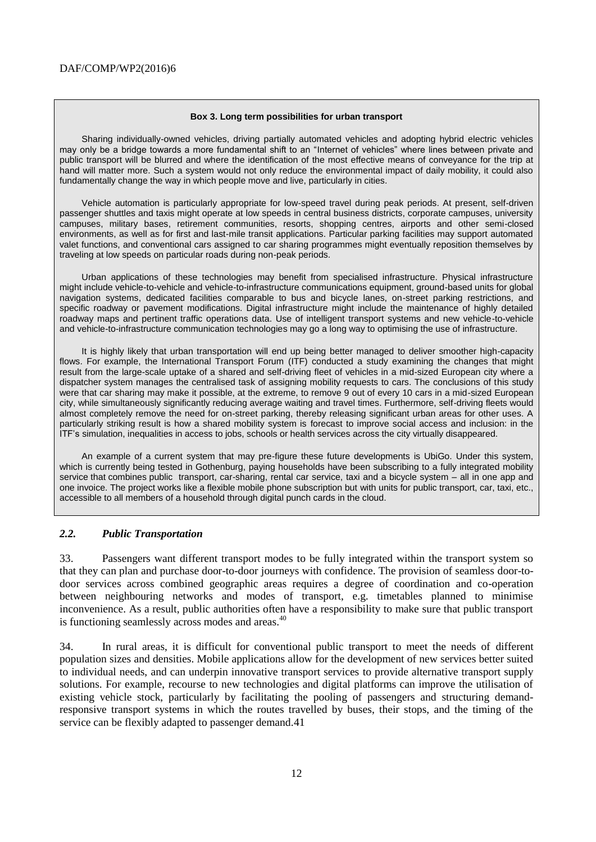#### **Box 3. Long term possibilities for urban transport**

Sharing individually-owned vehicles, driving partially automated vehicles and adopting hybrid electric vehicles may only be a bridge towards a more fundamental shift to an "Internet of vehicles" where lines between private and public transport will be blurred and where the identification of the most effective means of conveyance for the trip at hand will matter more. Such a system would not only reduce the environmental impact of daily mobility, it could also fundamentally change the way in which people move and live, particularly in cities.

Vehicle automation is particularly appropriate for low-speed travel during peak periods. At present, self-driven passenger shuttles and taxis might operate at low speeds in central business districts, corporate campuses, university campuses, military bases, retirement communities, resorts, shopping centres, airports and other semi-closed environments, as well as for first and last-mile transit applications. Particular parking facilities may support automated valet functions, and conventional cars assigned to car sharing programmes might eventually reposition themselves by traveling at low speeds on particular roads during non-peak periods.

Urban applications of these technologies may benefit from specialised infrastructure. Physical infrastructure might include vehicle-to-vehicle and vehicle-to-infrastructure communications equipment, ground-based units for global navigation systems, dedicated facilities comparable to bus and bicycle lanes, on-street parking restrictions, and specific roadway or pavement modifications. Digital infrastructure might include the maintenance of highly detailed roadway maps and pertinent traffic operations data. Use of intelligent transport systems and new vehicle-to-vehicle and vehicle-to-infrastructure communication technologies may go a long way to optimising the use of infrastructure.

It is highly likely that urban transportation will end up being better managed to deliver smoother high-capacity flows. For example, the International Transport Forum (ITF) conducted a study examining the changes that might result from the large-scale uptake of a shared and self-driving fleet of vehicles in a mid-sized European city where a dispatcher system manages the centralised task of assigning mobility requests to cars. The conclusions of this study were that car sharing may make it possible, at the extreme, to remove 9 out of every 10 cars in a mid-sized European city, while simultaneously significantly reducing average waiting and travel times. Furthermore, self-driving fleets would almost completely remove the need for on-street parking, thereby releasing significant urban areas for other uses. A particularly striking result is how a shared mobility system is forecast to improve social access and inclusion: in the ITF's simulation, inequalities in access to jobs, schools or health services across the city virtually disappeared.

An example of a current system that may pre-figure these future developments is UbiGo. Under this system, which is currently being tested in Gothenburg, paying households have been subscribing to a fully integrated mobility service that combines public transport, car-sharing, rental car service, taxi and a bicycle system – all in one app and one invoice. The project works like a flexible mobile phone subscription but with units for public transport, car, taxi, etc., accessible to all members of a household through digital punch cards in the cloud.

#### <span id="page-11-0"></span>*2.2. Public Transportation*

33. Passengers want different transport modes to be fully integrated within the transport system so that they can plan and purchase door-to-door journeys with confidence. The provision of seamless door-todoor services across combined geographic areas requires a degree of coordination and co-operation between neighbouring networks and modes of transport, e.g. timetables planned to minimise inconvenience. As a result, public authorities often have a responsibility to make sure that public transport is functioning seamlessly across modes and areas.<sup>40</sup>

34. In rural areas, it is difficult for conventional public transport to meet the needs of different population sizes and densities. Mobile applications allow for the development of new services better suited to individual needs, and can underpin innovative transport services to provide alternative transport supply solutions. For example, recourse to new technologies and digital platforms can improve the utilisation of existing vehicle stock, particularly by facilitating the pooling of passengers and structuring demandresponsive transport systems in which the routes travelled by buses, their stops, and the timing of the service can be flexibly adapted to passenger demand.41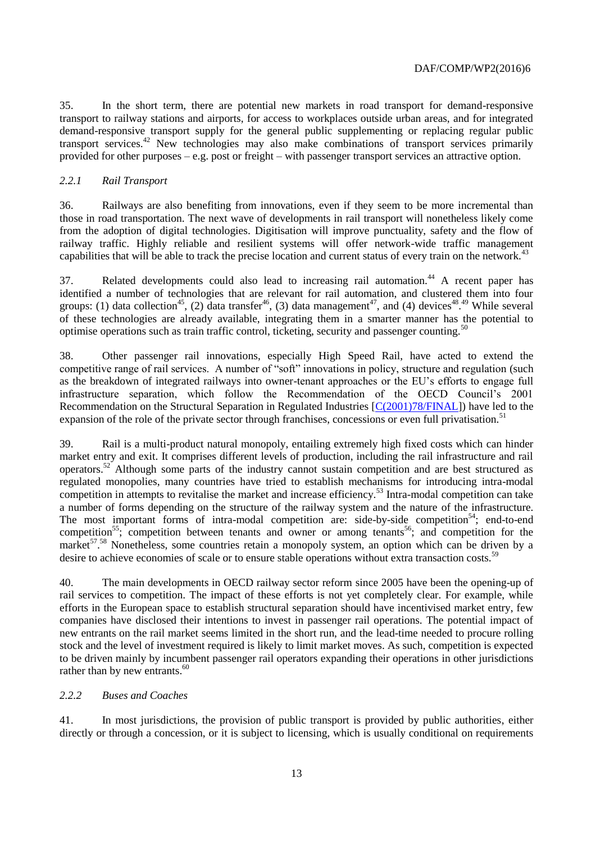35. In the short term, there are potential new markets in road transport for demand-responsive transport to railway stations and airports, for access to workplaces outside urban areas, and for integrated demand-responsive transport supply for the general public supplementing or replacing regular public transport services.<sup>42</sup> New technologies may also make combinations of transport services primarily provided for other purposes – e.g. post or freight – with passenger transport services an attractive option.

## <span id="page-12-0"></span>*2.2.1 Rail Transport*

36. Railways are also benefiting from innovations, even if they seem to be more incremental than those in road transportation. The next wave of developments in rail transport will nonetheless likely come from the adoption of digital technologies. Digitisation will improve punctuality, safety and the flow of railway traffic. Highly reliable and resilient systems will offer network-wide traffic management capabilities that will be able to track the precise location and current status of every train on the network.<sup>43</sup>

37. Related developments could also lead to increasing rail automation.<sup>44</sup> A recent paper has identified a number of technologies that are relevant for rail automation, and clustered them into four groups: (1) data collection<sup>45</sup>, (2) data transfer<sup>46</sup>, (3) data management<sup>47</sup>, and (4) devices<sup>48,49</sup> While several of these technologies are already available, integrating them in a smarter manner has the potential to optimise operations such as train traffic control, ticketing, security and passenger counting.<sup>50</sup>

38. Other passenger rail innovations, especially High Speed Rail, have acted to extend the competitive range of rail services. A number of "soft" innovations in policy, structure and regulation (such as the breakdown of integrated railways into owner-tenant approaches or the EU's efforts to engage full infrastructure separation, which follow the Recommendation of the OECD Council's 2001 Recommendation on the Structural Separation in Regulated Industries [\[C\(2001\)78/FINAL\]](http://www2.oecd.org/oecdinfo/info.aspx?app=OLIScoteEN&Ref=C(2001)78/FINAL)) have led to the expansion of the role of the private sector through franchises, concessions or even full privatisation.<sup>51</sup>

39. Rail is a multi-product natural monopoly, entailing extremely high fixed costs which can hinder market entry and exit. It comprises different levels of production, including the rail infrastructure and rail operators.<sup>52</sup> Although some parts of the industry cannot sustain competition and are best structured as regulated monopolies, many countries have tried to establish mechanisms for introducing intra-modal competition in attempts to revitalise the market and increase efficiency.<sup>53</sup> Intra-modal competition can take a number of forms depending on the structure of the railway system and the nature of the infrastructure. The most important forms of intra-modal competition are: side-by-side competition<sup>54</sup>; end-to-end competition<sup>55</sup>; competition between tenants and owner or among tenants<sup>56</sup>; and competition for the market<sup>57</sup>.<sup>58</sup> Nonetheless, some countries retain a monopoly system, an option which can be driven by a desire to achieve economies of scale or to ensure stable operations without extra transaction costs.<sup>59</sup>

40. The main developments in OECD railway sector reform since 2005 have been the opening-up of rail services to competition. The impact of these efforts is not yet completely clear. For example, while efforts in the European space to establish structural separation should have incentivised market entry, few companies have disclosed their intentions to invest in passenger rail operations. The potential impact of new entrants on the rail market seems limited in the short run, and the lead-time needed to procure rolling stock and the level of investment required is likely to limit market moves. As such, competition is expected to be driven mainly by incumbent passenger rail operators expanding their operations in other jurisdictions rather than by new entrants. $60$ 

# <span id="page-12-1"></span>*2.2.2 Buses and Coaches*

41. In most jurisdictions, the provision of public transport is provided by public authorities, either directly or through a concession, or it is subject to licensing, which is usually conditional on requirements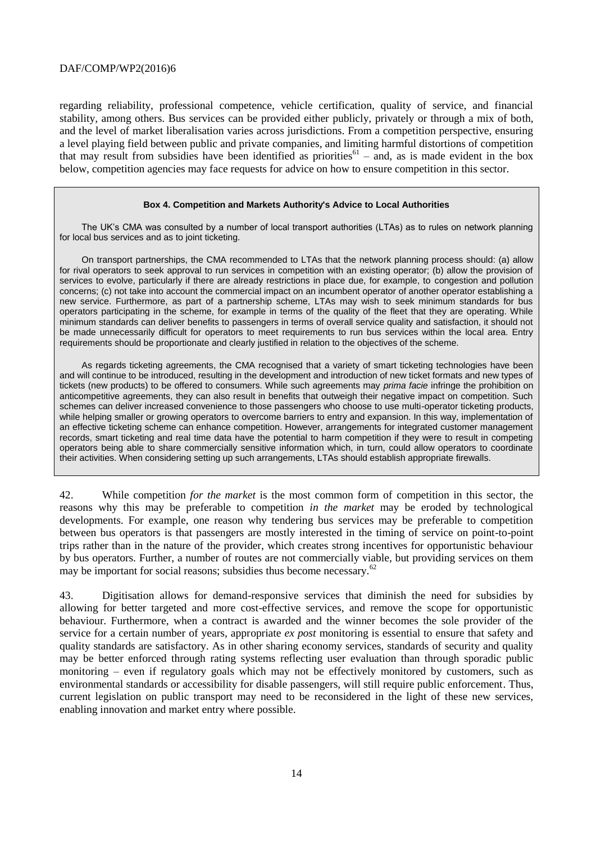regarding reliability, professional competence, vehicle certification, quality of service, and financial stability, among others. Bus services can be provided either publicly, privately or through a mix of both, and the level of market liberalisation varies across jurisdictions. From a competition perspective, ensuring a level playing field between public and private companies, and limiting harmful distortions of competition that may result from subsidies have been identified as priorities $61 -$  and, as is made evident in the box below, competition agencies may face requests for advice on how to ensure competition in this sector.

#### **Box 4. Competition and Markets Authority's Advice to Local Authorities**

The UK's CMA was consulted by a number of local transport authorities (LTAs) as to rules on network planning for local bus services and as to joint ticketing.

On transport partnerships, the CMA recommended to LTAs that the network planning process should: (a) allow for rival operators to seek approval to run services in competition with an existing operator; (b) allow the provision of services to evolve, particularly if there are already restrictions in place due, for example, to congestion and pollution concerns; (c) not take into account the commercial impact on an incumbent operator of another operator establishing a new service. Furthermore, as part of a partnership scheme, LTAs may wish to seek minimum standards for bus operators participating in the scheme, for example in terms of the quality of the fleet that they are operating. While minimum standards can deliver benefits to passengers in terms of overall service quality and satisfaction, it should not be made unnecessarily difficult for operators to meet requirements to run bus services within the local area. Entry requirements should be proportionate and clearly justified in relation to the objectives of the scheme.

As regards ticketing agreements, the CMA recognised that a variety of smart ticketing technologies have been and will continue to be introduced, resulting in the development and introduction of new ticket formats and new types of tickets (new products) to be offered to consumers. While such agreements may *prima facie* infringe the prohibition on anticompetitive agreements, they can also result in benefits that outweigh their negative impact on competition. Such schemes can deliver increased convenience to those passengers who choose to use multi-operator ticketing products, while helping smaller or growing operators to overcome barriers to entry and expansion. In this way, implementation of an effective ticketing scheme can enhance competition. However, arrangements for integrated customer management records, smart ticketing and real time data have the potential to harm competition if they were to result in competing operators being able to share commercially sensitive information which, in turn, could allow operators to coordinate their activities. When considering setting up such arrangements, LTAs should establish appropriate firewalls.

42. While competition *for the market* is the most common form of competition in this sector, the reasons why this may be preferable to competition *in the market* may be eroded by technological developments. For example, one reason why tendering bus services may be preferable to competition between bus operators is that passengers are mostly interested in the timing of service on point-to-point trips rather than in the nature of the provider, which creates strong incentives for opportunistic behaviour by bus operators. Further, a number of routes are not commercially viable, but providing services on them may be important for social reasons; subsidies thus become necessary.<sup>62</sup>

43. Digitisation allows for demand-responsive services that diminish the need for subsidies by allowing for better targeted and more cost-effective services, and remove the scope for opportunistic behaviour. Furthermore, when a contract is awarded and the winner becomes the sole provider of the service for a certain number of years, appropriate *ex post* monitoring is essential to ensure that safety and quality standards are satisfactory. As in other sharing economy services, standards of security and quality may be better enforced through rating systems reflecting user evaluation than through sporadic public monitoring – even if regulatory goals which may not be effectively monitored by customers, such as environmental standards or accessibility for disable passengers, will still require public enforcement. Thus, current legislation on public transport may need to be reconsidered in the light of these new services, enabling innovation and market entry where possible.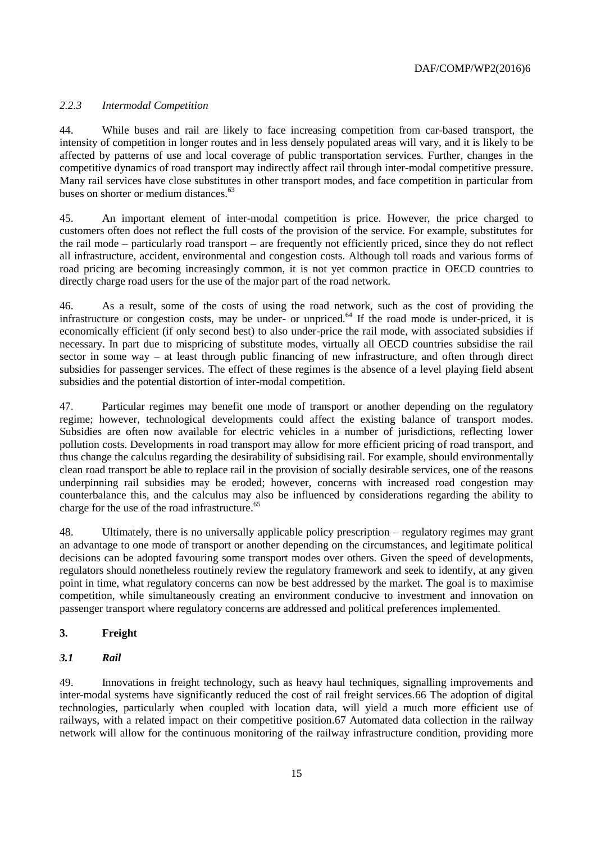## <span id="page-14-0"></span>*2.2.3 Intermodal Competition*

44. While buses and rail are likely to face increasing competition from car-based transport, the intensity of competition in longer routes and in less densely populated areas will vary, and it is likely to be affected by patterns of use and local coverage of public transportation services. Further, changes in the competitive dynamics of road transport may indirectly affect rail through inter-modal competitive pressure. Many rail services have close substitutes in other transport modes, and face competition in particular from buses on shorter or medium distances.<sup>63</sup>

45. An important element of inter-modal competition is price. However, the price charged to customers often does not reflect the full costs of the provision of the service. For example, substitutes for the rail mode – particularly road transport – are frequently not efficiently priced, since they do not reflect all infrastructure, accident, environmental and congestion costs. Although toll roads and various forms of road pricing are becoming increasingly common, it is not yet common practice in OECD countries to directly charge road users for the use of the major part of the road network.

46. As a result, some of the costs of using the road network, such as the cost of providing the infrastructure or congestion costs, may be under- or unpriced. $64$  If the road mode is under-priced, it is economically efficient (if only second best) to also under-price the rail mode, with associated subsidies if necessary. In part due to mispricing of substitute modes, virtually all OECD countries subsidise the rail sector in some way – at least through public financing of new infrastructure, and often through direct subsidies for passenger services. The effect of these regimes is the absence of a level playing field absent subsidies and the potential distortion of inter-modal competition.

47. Particular regimes may benefit one mode of transport or another depending on the regulatory regime; however, technological developments could affect the existing balance of transport modes. Subsidies are often now available for electric vehicles in a number of jurisdictions, reflecting lower pollution costs. Developments in road transport may allow for more efficient pricing of road transport, and thus change the calculus regarding the desirability of subsidising rail. For example, should environmentally clean road transport be able to replace rail in the provision of socially desirable services, one of the reasons underpinning rail subsidies may be eroded; however, concerns with increased road congestion may counterbalance this, and the calculus may also be influenced by considerations regarding the ability to charge for the use of the road infrastructure.<sup>65</sup>

48. Ultimately, there is no universally applicable policy prescription – regulatory regimes may grant an advantage to one mode of transport or another depending on the circumstances, and legitimate political decisions can be adopted favouring some transport modes over others. Given the speed of developments, regulators should nonetheless routinely review the regulatory framework and seek to identify, at any given point in time, what regulatory concerns can now be best addressed by the market. The goal is to maximise competition, while simultaneously creating an environment conducive to investment and innovation on passenger transport where regulatory concerns are addressed and political preferences implemented.

# <span id="page-14-1"></span>**3. Freight**

## <span id="page-14-2"></span>*3.1 Rail*

49. Innovations in freight technology, such as heavy haul techniques, signalling improvements and inter-modal systems have significantly reduced the cost of rail freight services.66 The adoption of digital technologies, particularly when coupled with location data, will yield a much more efficient use of railways, with a related impact on their competitive position.67 Automated data collection in the railway network will allow for the continuous monitoring of the railway infrastructure condition, providing more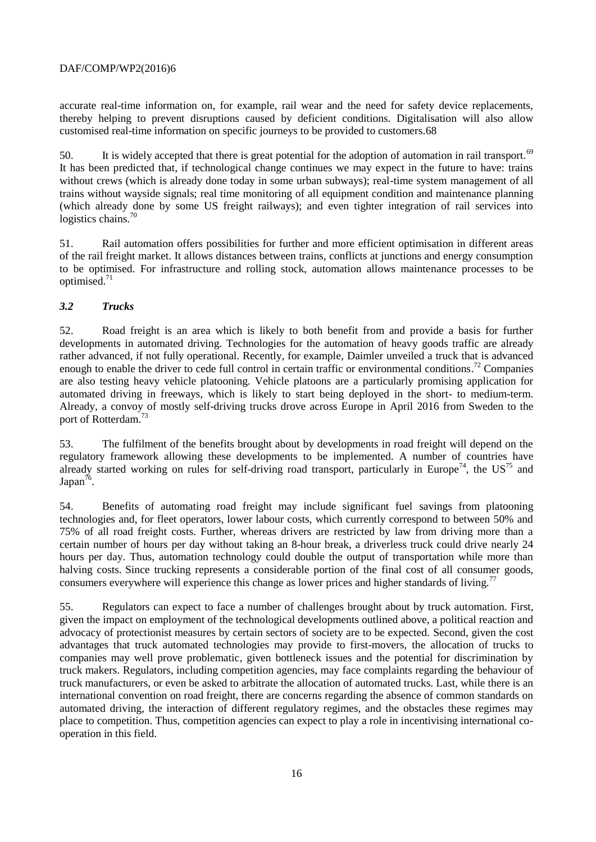accurate real-time information on, for example, rail wear and the need for safety device replacements, thereby helping to prevent disruptions caused by deficient conditions. Digitalisation will also allow customised real-time information on specific journeys to be provided to customers.68

50. It is widely accepted that there is great potential for the adoption of automation in rail transport.<sup>69</sup> It has been predicted that, if technological change continues we may expect in the future to have: trains without crews (which is already done today in some urban subways); real-time system management of all trains without wayside signals; real time monitoring of all equipment condition and maintenance planning (which already done by some US freight railways); and even tighter integration of rail services into logistics chains.<sup>70</sup>

51. Rail automation offers possibilities for further and more efficient optimisation in different areas of the rail freight market. It allows distances between trains, conflicts at junctions and energy consumption to be optimised. For infrastructure and rolling stock, automation allows maintenance processes to be optimised.<sup>71</sup>

# <span id="page-15-0"></span>*3.2 Trucks*

52. Road freight is an area which is likely to both benefit from and provide a basis for further developments in automated driving. Technologies for the automation of heavy goods traffic are already rather advanced, if not fully operational. Recently, for example, Daimler unveiled a truck that is advanced enough to enable the driver to cede full control in certain traffic or environmental conditions.<sup>72</sup> Companies are also testing heavy vehicle platooning. Vehicle platoons are a particularly promising application for automated driving in freeways, which is likely to start being deployed in the short- to medium-term. Already, a convoy of mostly self-driving trucks drove across Europe in April 2016 from Sweden to the port of Rotterdam.<sup>73</sup>

<span id="page-15-1"></span>53. The fulfilment of the benefits brought about by developments in road freight will depend on the regulatory framework allowing these developments to be implemented. A number of countries have already started working on rules for self-driving road transport, particularly in Europe<sup>74</sup>, the US<sup>75</sup> and Japan<sup>76</sup>.

<span id="page-15-2"></span>54. Benefits of automating road freight may include significant fuel savings from platooning technologies and, for fleet operators, lower labour costs, which currently correspond to between 50% and 75% of all road freight costs. Further, whereas drivers are restricted by law from driving more than a certain number of hours per day without taking an 8-hour break, a driverless truck could drive nearly 24 hours per day. Thus, automation technology could double the output of transportation while more than halving costs. Since trucking represents a considerable portion of the final cost of all consumer goods, consumers everywhere will experience this change as lower prices and higher standards of living.<sup>77</sup>

55. Regulators can expect to face a number of challenges brought about by truck automation. First, given the impact on employment of the technological developments outlined above, a political reaction and advocacy of protectionist measures by certain sectors of society are to be expected. Second, given the cost advantages that truck automated technologies may provide to first-movers, the allocation of trucks to companies may well prove problematic, given bottleneck issues and the potential for discrimination by truck makers. Regulators, including competition agencies, may face complaints regarding the behaviour of truck manufacturers, or even be asked to arbitrate the allocation of automated trucks. Last, while there is an international convention on road freight, there are concerns regarding the absence of common standards on automated driving, the interaction of different regulatory regimes, and the obstacles these regimes may place to competition. Thus, competition agencies can expect to play a role in incentivising international cooperation in this field.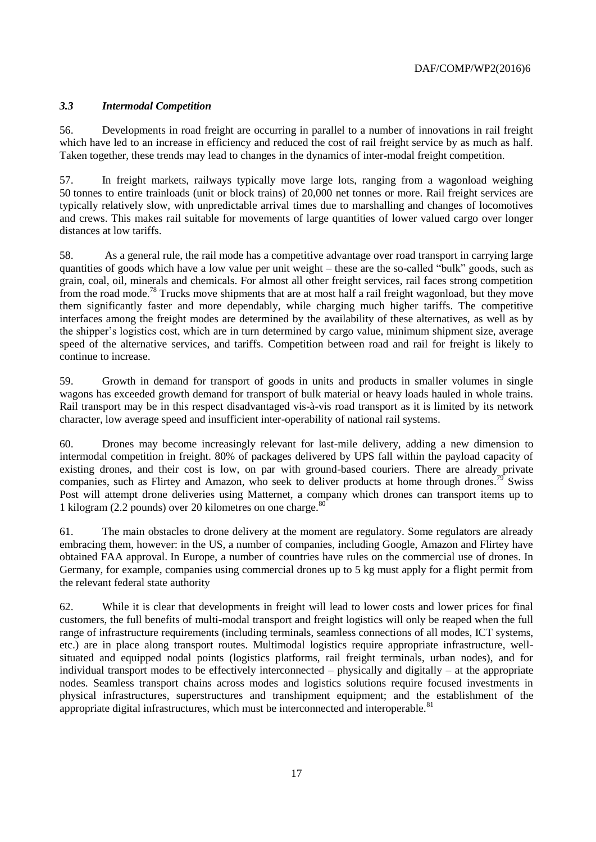# <span id="page-16-0"></span>*3.3 Intermodal Competition*

56. Developments in road freight are occurring in parallel to a number of innovations in rail freight which have led to an increase in efficiency and reduced the cost of rail freight service by as much as half. Taken together, these trends may lead to changes in the dynamics of inter-modal freight competition.

57. In freight markets, railways typically move large lots, ranging from a wagonload weighing 50 tonnes to entire trainloads (unit or block trains) of 20,000 net tonnes or more. Rail freight services are typically relatively slow, with unpredictable arrival times due to marshalling and changes of locomotives and crews. This makes rail suitable for movements of large quantities of lower valued cargo over longer distances at low tariffs.

58. As a general rule, the rail mode has a competitive advantage over road transport in carrying large quantities of goods which have a low value per unit weight – these are the so-called "bulk" goods, such as grain, coal, oil, minerals and chemicals. For almost all other freight services, rail faces strong competition from the road mode.<sup>78</sup> Trucks move shipments that are at most half a rail freight wagonload, but they move them significantly faster and more dependably, while charging much higher tariffs. The competitive interfaces among the freight modes are determined by the availability of these alternatives, as well as by the shipper's logistics cost, which are in turn determined by cargo value, minimum shipment size, average speed of the alternative services, and tariffs. Competition between road and rail for freight is likely to continue to increase.

59. Growth in demand for transport of goods in units and products in smaller volumes in single wagons has exceeded growth demand for transport of bulk material or heavy loads hauled in whole trains. Rail transport may be in this respect disadvantaged vis-à-vis road transport as it is limited by its network character, low average speed and insufficient inter-operability of national rail systems.

60. Drones may become increasingly relevant for last-mile delivery, adding a new dimension to intermodal competition in freight. 80% of packages delivered by UPS fall within the payload capacity of existing drones, and their cost is low, on par with ground-based couriers. There are already private companies, such as Flirtey and Amazon, who seek to deliver products at home through drones.<sup>79</sup> Swiss Post will attempt drone deliveries using Matternet, a company which drones can transport items up to 1 kilogram (2.2 pounds) over 20 kilometres on one charge.<sup>80</sup>

61. The main obstacles to drone delivery at the moment are regulatory. Some regulators are already embracing them, however: in the US, a number of companies, including Google, Amazon and Flirtey have obtained FAA approval. In Europe, a number of countries have rules on the commercial use of drones. In Germany, for example, companies using commercial drones up to 5 kg must apply for a flight permit from the relevant federal state authority

62. While it is clear that developments in freight will lead to lower costs and lower prices for final customers, the full benefits of multi-modal transport and freight logistics will only be reaped when the full range of infrastructure requirements (including terminals, seamless connections of all modes, ICT systems, etc.) are in place along transport routes. Multimodal logistics require appropriate infrastructure, wellsituated and equipped nodal points (logistics platforms, rail freight terminals, urban nodes), and for individual transport modes to be effectively interconnected – physically and digitally – at the appropriate nodes. Seamless transport chains across modes and logistics solutions require focused investments in physical infrastructures, superstructures and transhipment equipment; and the establishment of the appropriate digital infrastructures, which must be interconnected and interoperable.<sup>81</sup>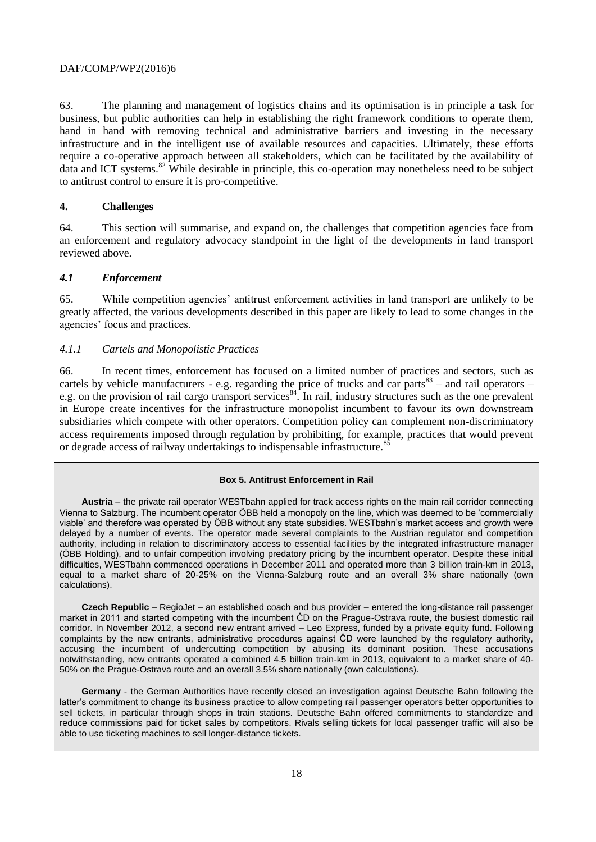63. The planning and management of logistics chains and its optimisation is in principle a task for business, but public authorities can help in establishing the right framework conditions to operate them, hand in hand with removing technical and administrative barriers and investing in the necessary infrastructure and in the intelligent use of available resources and capacities. Ultimately, these efforts require a co-operative approach between all stakeholders, which can be facilitated by the availability of data and ICT systems.<sup>82</sup> While desirable in principle, this co-operation may nonetheless need to be subject to antitrust control to ensure it is pro-competitive.

## <span id="page-17-0"></span>**4. Challenges**

64. This section will summarise, and expand on, the challenges that competition agencies face from an enforcement and regulatory advocacy standpoint in the light of the developments in land transport reviewed above.

## <span id="page-17-1"></span>*4.1 Enforcement*

65. While competition agencies' antitrust enforcement activities in land transport are unlikely to be greatly affected, the various developments described in this paper are likely to lead to some changes in the agencies' focus and practices.

## <span id="page-17-2"></span>*4.1.1 Cartels and Monopolistic Practices*

66. In recent times, enforcement has focused on a limited number of practices and sectors, such as cartels by vehicle manufacturers - e.g. regarding the price of trucks and car parts<sup>83</sup> – and rail operators – e.g. on the provision of rail cargo transport services<sup>84</sup>. In rail, industry structures such as the one prevalent in Europe create incentives for the infrastructure monopolist incumbent to favour its own downstream subsidiaries which compete with other operators. Competition policy can complement non-discriminatory access requirements imposed through regulation by prohibiting, for example, practices that would prevent or degrade access of railway undertakings to indispensable infrastructure.<sup>8</sup>

## **Box 5. Antitrust Enforcement in Rail**

**Austria** – the private rail operator WESTbahn applied for track access rights on the main rail corridor connecting Vienna to Salzburg. The incumbent operator ÖBB held a monopoly on the line, which was deemed to be 'commercially viable' and therefore was operated by ÖBB without any state subsidies. WESTbahn's market access and growth were delayed by a number of events. The operator made several complaints to the Austrian regulator and competition authority, including in relation to discriminatory access to essential facilities by the integrated infrastructure manager (ÖBB Holding), and to unfair competition involving predatory pricing by the incumbent operator. Despite these initial difficulties, WESTbahn commenced operations in December 2011 and operated more than 3 billion train-km in 2013, equal to a market share of 20-25% on the Vienna-Salzburg route and an overall 3% share nationally (own calculations).

**Czech Republic** – RegioJet – an established coach and bus provider – entered the long-distance rail passenger market in 2011 and started competing with the incumbent ĈD on the Prague-Ostrava route, the busiest domestic rail corridor. In November 2012, a second new entrant arrived – Leo Express, funded by a private equity fund. Following complaints by the new entrants, administrative procedures against ĈD were launched by the regulatory authority, accusing the incumbent of undercutting competition by abusing its dominant position. These accusations notwithstanding, new entrants operated a combined 4.5 billion train-km in 2013, equivalent to a market share of 40- 50% on the Prague-Ostrava route and an overall 3.5% share nationally (own calculations).

**Germany** - the German Authorities have recently closed an investigation against Deutsche Bahn following the latter's commitment to change its business practice to allow competing rail passenger operators better opportunities to sell tickets, in particular through shops in train stations. Deutsche Bahn offered commitments to standardize and reduce commissions paid for ticket sales by competitors. Rivals selling tickets for local passenger traffic will also be able to use ticketing machines to sell longer-distance tickets.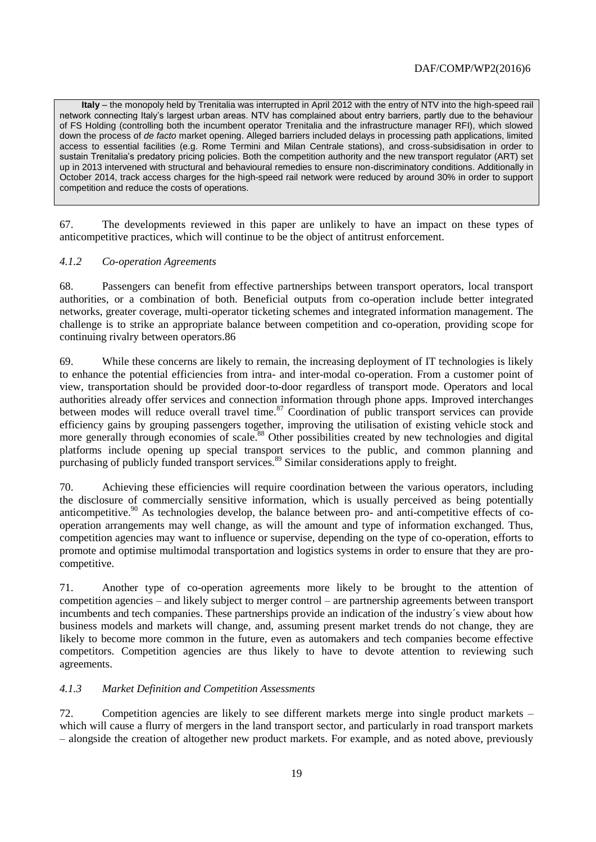**Italy** – the monopoly held by Trenitalia was interrupted in April 2012 with the entry of NTV into the high-speed rail network connecting Italy's largest urban areas. NTV has complained about entry barriers, partly due to the behaviour of FS Holding (controlling both the incumbent operator Trenitalia and the infrastructure manager RFI), which slowed down the process of *de facto* market opening. Alleged barriers included delays in processing path applications, limited access to essential facilities (e.g. Rome Termini and Milan Centrale stations), and cross-subsidisation in order to sustain Trenitalia's predatory pricing policies. Both the competition authority and the new transport regulator (ART) set up in 2013 intervened with structural and behavioural remedies to ensure non-discriminatory conditions. Additionally in October 2014, track access charges for the high-speed rail network were reduced by around 30% in order to support competition and reduce the costs of operations.

67. The developments reviewed in this paper are unlikely to have an impact on these types of anticompetitive practices, which will continue to be the object of antitrust enforcement.

## <span id="page-18-0"></span>*4.1.2 Co-operation Agreements*

68. Passengers can benefit from effective partnerships between transport operators, local transport authorities, or a combination of both. Beneficial outputs from co-operation include better integrated networks, greater coverage, multi-operator ticketing schemes and integrated information management. The challenge is to strike an appropriate balance between competition and co-operation, providing scope for continuing rivalry between operators.86

69. While these concerns are likely to remain, the increasing deployment of IT technologies is likely to enhance the potential efficiencies from intra- and inter-modal co-operation. From a customer point of view, transportation should be provided door-to-door regardless of transport mode. Operators and local authorities already offer services and connection information through phone apps. Improved interchanges between modes will reduce overall travel time.<sup>87</sup> Coordination of public transport services can provide efficiency gains by grouping passengers together, improving the utilisation of existing vehicle stock and more generally through economies of scale.<sup>88</sup> Other possibilities created by new technologies and digital platforms include opening up special transport services to the public, and common planning and purchasing of publicly funded transport services.<sup>89</sup> Similar considerations apply to freight.

70. Achieving these efficiencies will require coordination between the various operators, including the disclosure of commercially sensitive information, which is usually perceived as being potentially anticompetitive.<sup>90</sup> As technologies develop, the balance between pro- and anti-competitive effects of cooperation arrangements may well change, as will the amount and type of information exchanged. Thus, competition agencies may want to influence or supervise, depending on the type of co-operation, efforts to promote and optimise multimodal transportation and logistics systems in order to ensure that they are procompetitive.

71. Another type of co-operation agreements more likely to be brought to the attention of competition agencies – and likely subject to merger control – are partnership agreements between transport incumbents and tech companies. These partnerships provide an indication of the industry´s view about how business models and markets will change, and, assuming present market trends do not change, they are likely to become more common in the future, even as automakers and tech companies become effective competitors. Competition agencies are thus likely to have to devote attention to reviewing such agreements.

## <span id="page-18-1"></span>*4.1.3 Market Definition and Competition Assessments*

72. Competition agencies are likely to see different markets merge into single product markets – which will cause a flurry of mergers in the land transport sector, and particularly in road transport markets – alongside the creation of altogether new product markets. For example, and as noted above, previously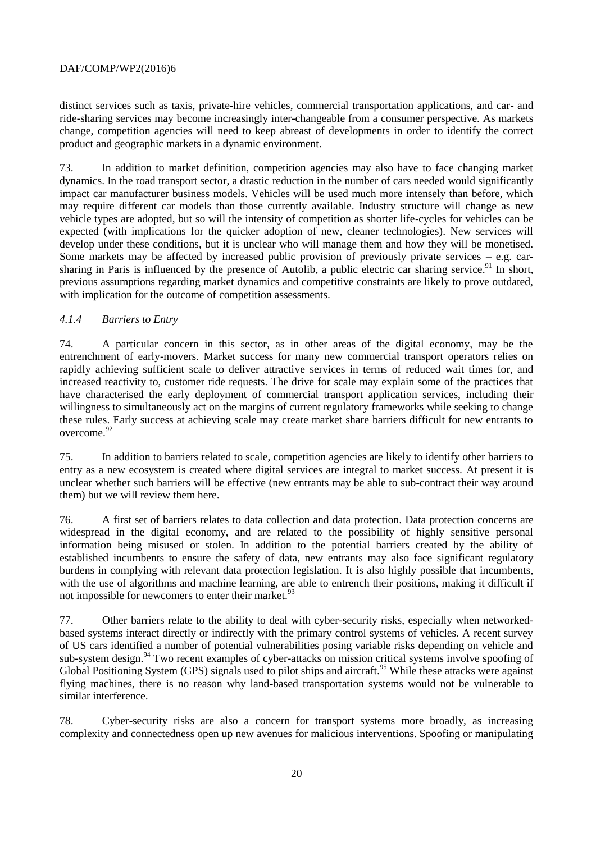distinct services such as taxis, private-hire vehicles, commercial transportation applications, and car- and ride-sharing services may become increasingly inter-changeable from a consumer perspective. As markets change, competition agencies will need to keep abreast of developments in order to identify the correct product and geographic markets in a dynamic environment.

73. In addition to market definition, competition agencies may also have to face changing market dynamics. In the road transport sector, a drastic reduction in the number of cars needed would significantly impact car manufacturer business models. Vehicles will be used much more intensely than before, which may require different car models than those currently available. Industry structure will change as new vehicle types are adopted, but so will the intensity of competition as shorter life-cycles for vehicles can be expected (with implications for the quicker adoption of new, cleaner technologies). New services will develop under these conditions, but it is unclear who will manage them and how they will be monetised. Some markets may be affected by increased public provision of previously private services  $-$  e.g. carsharing in Paris is influenced by the presence of Autolib, a public electric car sharing service.<sup>91</sup> In short, previous assumptions regarding market dynamics and competitive constraints are likely to prove outdated, with implication for the outcome of competition assessments.

## <span id="page-19-0"></span>*4.1.4 Barriers to Entry*

74. A particular concern in this sector, as in other areas of the digital economy, may be the entrenchment of early-movers. Market success for many new commercial transport operators relies on rapidly achieving sufficient scale to deliver attractive services in terms of reduced wait times for, and increased reactivity to, customer ride requests. The drive for scale may explain some of the practices that have characterised the early deployment of commercial transport application services, including their willingness to simultaneously act on the margins of current regulatory frameworks while seeking to change these rules. Early success at achieving scale may create market share barriers difficult for new entrants to overcome.<sup>92</sup>

75. In addition to barriers related to scale, competition agencies are likely to identify other barriers to entry as a new ecosystem is created where digital services are integral to market success. At present it is unclear whether such barriers will be effective (new entrants may be able to sub-contract their way around them) but we will review them here.

76. A first set of barriers relates to data collection and data protection. Data protection concerns are widespread in the digital economy, and are related to the possibility of highly sensitive personal information being misused or stolen. In addition to the potential barriers created by the ability of established incumbents to ensure the safety of data, new entrants may also face significant regulatory burdens in complying with relevant data protection legislation. It is also highly possible that incumbents, with the use of algorithms and machine learning, are able to entrench their positions, making it difficult if not impossible for newcomers to enter their market.<sup>93</sup>

77. Other barriers relate to the ability to deal with cyber-security risks, especially when networkedbased systems interact directly or indirectly with the primary control systems of vehicles. A recent survey of US cars identified a number of potential vulnerabilities posing variable risks depending on vehicle and sub-system design.<sup>94</sup> Two recent examples of cyber-attacks on mission critical systems involve spoofing of Global Positioning System (GPS) signals used to pilot ships and aircraft.<sup>95</sup> While these attacks were against flying machines, there is no reason why land-based transportation systems would not be vulnerable to similar interference.

78. Cyber-security risks are also a concern for transport systems more broadly, as increasing complexity and connectedness open up new avenues for malicious interventions. Spoofing or manipulating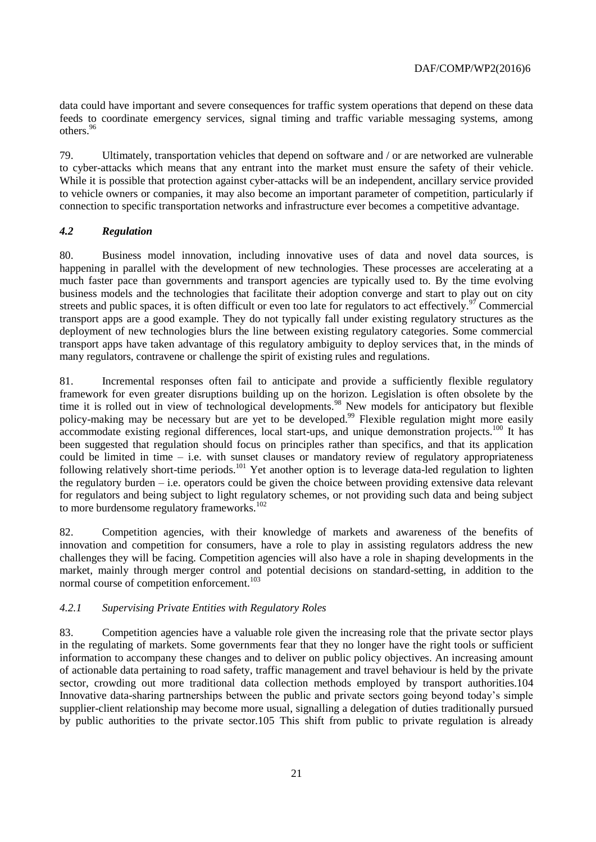data could have important and severe consequences for traffic system operations that depend on these data feeds to coordinate emergency services, signal timing and traffic variable messaging systems, among others.<sup>96</sup>

79. Ultimately, transportation vehicles that depend on software and / or are networked are vulnerable to cyber-attacks which means that any entrant into the market must ensure the safety of their vehicle. While it is possible that protection against cyber-attacks will be an independent, ancillary service provided to vehicle owners or companies, it may also become an important parameter of competition, particularly if connection to specific transportation networks and infrastructure ever becomes a competitive advantage.

## <span id="page-20-0"></span>*4.2 Regulation*

80. Business model innovation, including innovative uses of data and novel data sources, is happening in parallel with the development of new technologies. These processes are accelerating at a much faster pace than governments and transport agencies are typically used to. By the time evolving business models and the technologies that facilitate their adoption converge and start to play out on city streets and public spaces, it is often difficult or even too late for regulators to act effectively.<sup>97</sup> Commercial transport apps are a good example. They do not typically fall under existing regulatory structures as the deployment of new technologies blurs the line between existing regulatory categories. Some commercial transport apps have taken advantage of this regulatory ambiguity to deploy services that, in the minds of many regulators, contravene or challenge the spirit of existing rules and regulations.

81. Incremental responses often fail to anticipate and provide a sufficiently flexible regulatory framework for even greater disruptions building up on the horizon. Legislation is often obsolete by the time it is rolled out in view of technological developments.<sup>98</sup> New models for anticipatory but flexible policy-making may be necessary but are yet to be developed.<sup>99</sup> Flexible regulation might more easily accommodate existing regional differences, local start-ups, and unique demonstration projects.<sup>100</sup> It has been suggested that regulation should focus on principles rather than specifics, and that its application could be limited in time – i.e. with sunset clauses or mandatory review of regulatory appropriateness following relatively short-time periods.<sup>101</sup> Yet another option is to leverage data-led regulation to lighten the regulatory burden – i.e. operators could be given the choice between providing extensive data relevant for regulators and being subject to light regulatory schemes, or not providing such data and being subject to more burdensome regulatory frameworks.<sup>102</sup>

82. Competition agencies, with their knowledge of markets and awareness of the benefits of innovation and competition for consumers, have a role to play in assisting regulators address the new challenges they will be facing. Competition agencies will also have a role in shaping developments in the market, mainly through merger control and potential decisions on standard-setting, in addition to the normal course of competition enforcement.<sup>103</sup>

#### <span id="page-20-1"></span>*4.2.1 Supervising Private Entities with Regulatory Roles*

83. Competition agencies have a valuable role given the increasing role that the private sector plays in the regulating of markets. Some governments fear that they no longer have the right tools or sufficient information to accompany these changes and to deliver on public policy objectives. An increasing amount of actionable data pertaining to road safety, traffic management and travel behaviour is held by the private sector, crowding out more traditional data collection methods employed by transport authorities.104 Innovative data-sharing partnerships between the public and private sectors going beyond today's simple supplier-client relationship may become more usual, signalling a delegation of duties traditionally pursued by public authorities to the private sector.105 This shift from public to private regulation is already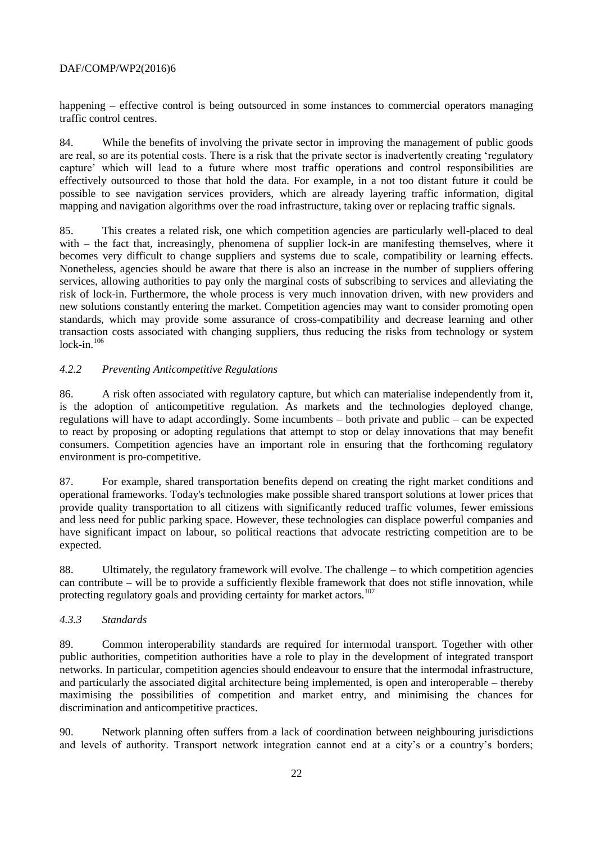happening – effective control is being outsourced in some instances to commercial operators managing traffic control centres.

84. While the benefits of involving the private sector in improving the management of public goods are real, so are its potential costs. There is a risk that the private sector is inadvertently creating 'regulatory capture' which will lead to a future where most traffic operations and control responsibilities are effectively outsourced to those that hold the data. For example, in a not too distant future it could be possible to see navigation services providers, which are already layering traffic information, digital mapping and navigation algorithms over the road infrastructure, taking over or replacing traffic signals.

85. This creates a related risk, one which competition agencies are particularly well-placed to deal with – the fact that, increasingly, phenomena of supplier lock-in are manifesting themselves, where it becomes very difficult to change suppliers and systems due to scale, compatibility or learning effects. Nonetheless, agencies should be aware that there is also an increase in the number of suppliers offering services, allowing authorities to pay only the marginal costs of subscribing to services and alleviating the risk of lock-in. Furthermore, the whole process is very much innovation driven, with new providers and new solutions constantly entering the market. Competition agencies may want to consider promoting open standards, which may provide some assurance of cross-compatibility and decrease learning and other transaction costs associated with changing suppliers, thus reducing the risks from technology or system lock-in. $106$ 

# <span id="page-21-0"></span>*4.2.2 Preventing Anticompetitive Regulations*

86. A risk often associated with regulatory capture, but which can materialise independently from it, is the adoption of anticompetitive regulation. As markets and the technologies deployed change, regulations will have to adapt accordingly. Some incumbents – both private and public – can be expected to react by proposing or adopting regulations that attempt to stop or delay innovations that may benefit consumers. Competition agencies have an important role in ensuring that the forthcoming regulatory environment is pro-competitive.

87. For example, shared transportation benefits depend on creating the right market conditions and operational frameworks. Today's technologies make possible shared transport solutions at lower prices that provide quality transportation to all citizens with significantly reduced traffic volumes, fewer emissions and less need for public parking space. However, these technologies can displace powerful companies and have significant impact on labour, so political reactions that advocate restricting competition are to be expected.

88. Ultimately, the regulatory framework will evolve. The challenge – to which competition agencies can contribute – will be to provide a sufficiently flexible framework that does not stifle innovation, while protecting regulatory goals and providing certainty for market actors.<sup>107</sup>

## <span id="page-21-1"></span>*4.3.3 Standards*

89. Common interoperability standards are required for intermodal transport. Together with other public authorities, competition authorities have a role to play in the development of integrated transport networks. In particular, competition agencies should endeavour to ensure that the intermodal infrastructure, and particularly the associated digital architecture being implemented, is open and interoperable – thereby maximising the possibilities of competition and market entry, and minimising the chances for discrimination and anticompetitive practices.

90. Network planning often suffers from a lack of coordination between neighbouring jurisdictions and levels of authority. Transport network integration cannot end at a city's or a country's borders;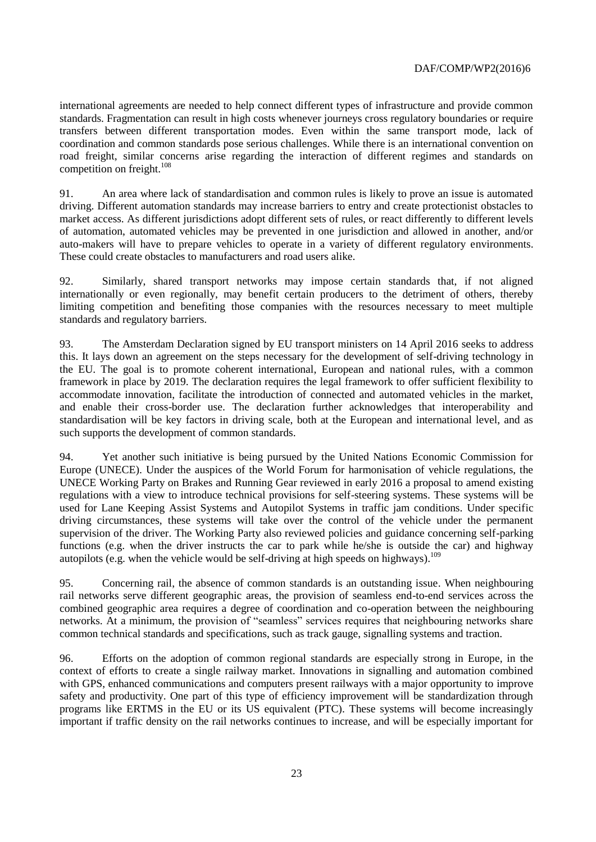international agreements are needed to help connect different types of infrastructure and provide common standards. Fragmentation can result in high costs whenever journeys cross regulatory boundaries or require transfers between different transportation modes. Even within the same transport mode, lack of coordination and common standards pose serious challenges. While there is an international convention on road freight, similar concerns arise regarding the interaction of different regimes and standards on competition on freight.<sup>108</sup>

91. An area where lack of standardisation and common rules is likely to prove an issue is automated driving. Different automation standards may increase barriers to entry and create protectionist obstacles to market access. As different jurisdictions adopt different sets of rules, or react differently to different levels of automation, automated vehicles may be prevented in one jurisdiction and allowed in another, and/or auto-makers will have to prepare vehicles to operate in a variety of different regulatory environments. These could create obstacles to manufacturers and road users alike.

92. Similarly, shared transport networks may impose certain standards that, if not aligned internationally or even regionally, may benefit certain producers to the detriment of others, thereby limiting competition and benefiting those companies with the resources necessary to meet multiple standards and regulatory barriers.

93. The Amsterdam Declaration signed by EU transport ministers on 14 April 2016 seeks to address this. It lays down an agreement on the steps necessary for the development of self-driving technology in the EU. The goal is to promote coherent international, European and national rules, with a common framework in place by 2019. The declaration requires the legal framework to offer sufficient flexibility to accommodate innovation, facilitate the introduction of connected and automated vehicles in the market, and enable their cross-border use. The declaration further acknowledges that interoperability and standardisation will be key factors in driving scale, both at the European and international level, and as such supports the development of common standards.

94. Yet another such initiative is being pursued by the United Nations Economic Commission for Europe (UNECE). Under the auspices of the World Forum for harmonisation of vehicle regulations, the UNECE Working Party on Brakes and Running Gear reviewed in early 2016 a proposal to amend existing regulations with a view to introduce technical provisions for self-steering systems. These systems will be used for Lane Keeping Assist Systems and Autopilot Systems in traffic jam conditions. Under specific driving circumstances, these systems will take over the control of the vehicle under the permanent supervision of the driver. The Working Party also reviewed policies and guidance concerning self-parking functions (e.g. when the driver instructs the car to park while he/she is outside the car) and highway autopilots (e.g. when the vehicle would be self-driving at high speeds on highways).<sup>109</sup>

95. Concerning rail, the absence of common standards is an outstanding issue. When neighbouring rail networks serve different geographic areas, the provision of seamless end-to-end services across the combined geographic area requires a degree of coordination and co-operation between the neighbouring networks. At a minimum, the provision of "seamless" services requires that neighbouring networks share common technical standards and specifications, such as track gauge, signalling systems and traction.

96. Efforts on the adoption of common regional standards are especially strong in Europe, in the context of efforts to create a single railway market. Innovations in signalling and automation combined with GPS, enhanced communications and computers present railways with a major opportunity to improve safety and productivity. One part of this type of efficiency improvement will be standardization through programs like ERTMS in the EU or its US equivalent (PTC). These systems will become increasingly important if traffic density on the rail networks continues to increase, and will be especially important for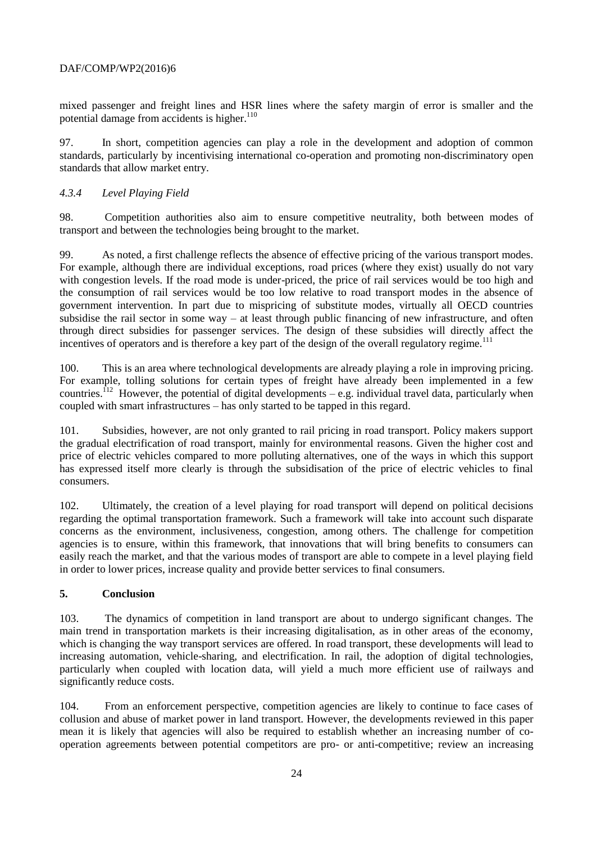mixed passenger and freight lines and HSR lines where the safety margin of error is smaller and the potential damage from accidents is higher.<sup>110</sup>

97. In short, competition agencies can play a role in the development and adoption of common standards, particularly by incentivising international co-operation and promoting non-discriminatory open standards that allow market entry.

## <span id="page-23-0"></span>*4.3.4 Level Playing Field*

98. Competition authorities also aim to ensure competitive neutrality, both between modes of transport and between the technologies being brought to the market.

99. As noted, a first challenge reflects the absence of effective pricing of the various transport modes. For example, although there are individual exceptions, road prices (where they exist) usually do not vary with congestion levels. If the road mode is under-priced, the price of rail services would be too high and the consumption of rail services would be too low relative to road transport modes in the absence of government intervention. In part due to mispricing of substitute modes, virtually all OECD countries subsidise the rail sector in some way – at least through public financing of new infrastructure, and often through direct subsidies for passenger services. The design of these subsidies will directly affect the incentives of operators and is therefore a key part of the design of the overall regulatory regime.<sup>111</sup>

100. This is an area where technological developments are already playing a role in improving pricing. For example, tolling solutions for certain types of freight have already been implemented in a few countries.<sup>112</sup> However, the potential of digital developments – e.g. individual travel data, particularly when coupled with smart infrastructures – has only started to be tapped in this regard.

101. Subsidies, however, are not only granted to rail pricing in road transport. Policy makers support the gradual electrification of road transport, mainly for environmental reasons. Given the higher cost and price of electric vehicles compared to more polluting alternatives, one of the ways in which this support has expressed itself more clearly is through the subsidisation of the price of electric vehicles to final consumers.

102. Ultimately, the creation of a level playing for road transport will depend on political decisions regarding the optimal transportation framework. Such a framework will take into account such disparate concerns as the environment, inclusiveness, congestion, among others. The challenge for competition agencies is to ensure, within this framework, that innovations that will bring benefits to consumers can easily reach the market, and that the various modes of transport are able to compete in a level playing field in order to lower prices, increase quality and provide better services to final consumers.

## **5. Conclusion**

103. The dynamics of competition in land transport are about to undergo significant changes. The main trend in transportation markets is their increasing digitalisation, as in other areas of the economy, which is changing the way transport services are offered. In road transport, these developments will lead to increasing automation, vehicle-sharing, and electrification. In rail, the adoption of digital technologies, particularly when coupled with location data, will yield a much more efficient use of railways and significantly reduce costs.

104. From an enforcement perspective, competition agencies are likely to continue to face cases of collusion and abuse of market power in land transport. However, the developments reviewed in this paper mean it is likely that agencies will also be required to establish whether an increasing number of cooperation agreements between potential competitors are pro- or anti-competitive; review an increasing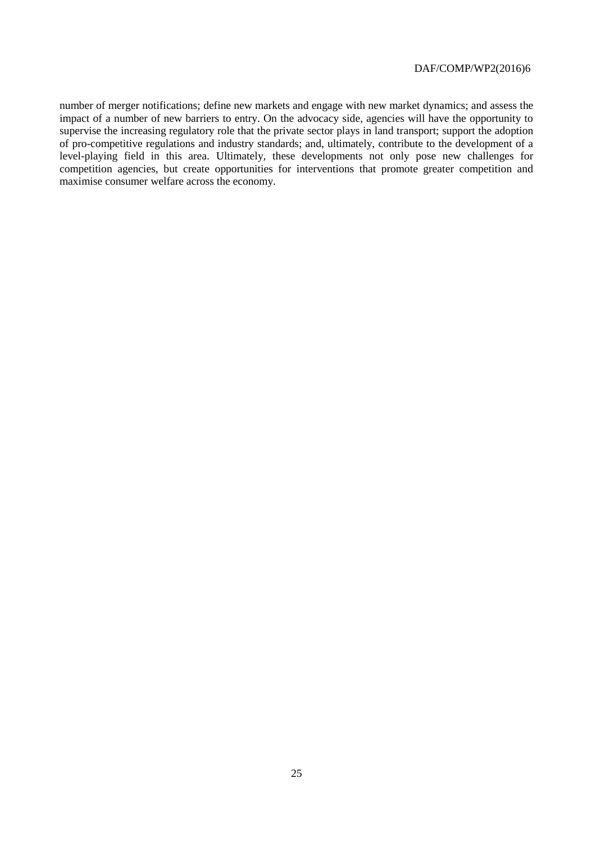number of merger notifications; define new markets and engage with new market dynamics; and assess the impact of a number of new barriers to entry. On the advocacy side, agencies will have the opportunity to supervise the increasing regulatory role that the private sector plays in land transport; support the adoption of pro-competitive regulations and industry standards; and, ultimately, contribute to the development of a level-playing field in this area. Ultimately, these developments not only pose new challenges for competition agencies, but create opportunities for interventions that promote greater competition and maximise consumer welfare across the economy.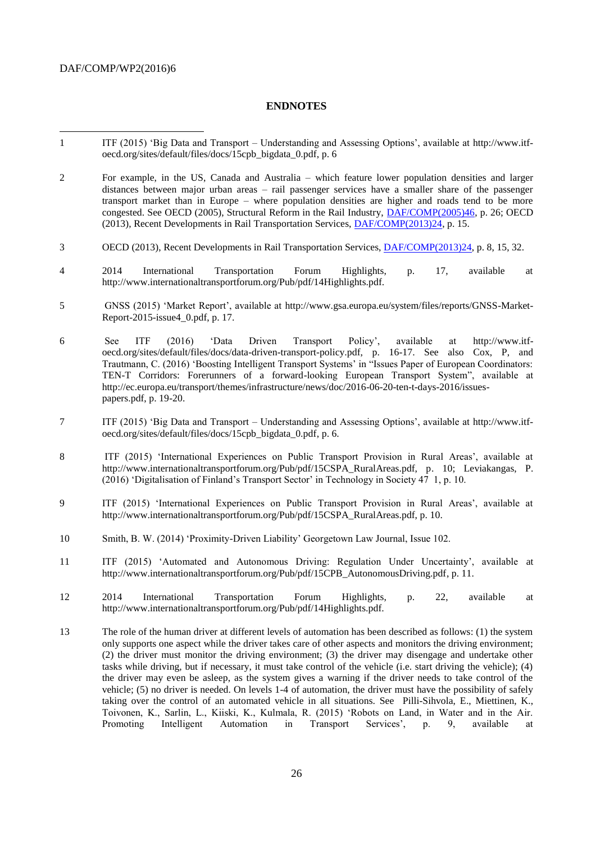l

#### <span id="page-25-0"></span>**ENDNOTES**

- 1 ITF (2015) 'Big Data and Transport Understanding and Assessing Options', available at [http://www.itf](http://www.itf-oecd.org/sites/default/files/docs/15cpb_bigdata_0.pdf)[oecd.org/sites/default/files/docs/15cpb\\_bigdata\\_0.pdf,](http://www.itf-oecd.org/sites/default/files/docs/15cpb_bigdata_0.pdf) p. 6
- 2 For example, in the US, Canada and Australia which feature lower population densities and larger distances between major urban areas – rail passenger services have a smaller share of the passenger transport market than in Europe – where population densities are higher and roads tend to be more congested. See OECD (2005), Structural Reform in the Rail Industry, [DAF/COMP\(2005\)46,](http://www2.oecd.org/oecdinfo/info.aspx?app=OLIScoteEN&Ref=DAF/COMP(2005)46) p. 26; OECD (2013), Recent Developments in Rail Transportation Services, [DAF/COMP\(2013\)24,](http://www2.oecd.org/oecdinfo/info.aspx?app=OLIScoteEN&Ref=DAF/COMP(2013)24) p. 15.
- 3 OECD (2013), Recent Developments in Rail Transportation Services, [DAF/COMP\(2013\)24,](http://www2.oecd.org/oecdinfo/info.aspx?app=OLIScoteEN&Ref=DAF/COMP(2013)24) p. 8, 15, 32.
- 4 2014 International Transportation Forum Highlights, p. 17, available at http://www.internationaltransportforum.org/Pub/pdf/14Highlights.pdf.
- 5 GNSS (2015) 'Market Report', available at [http://www.gsa.europa.eu/system/files/reports/GNSS-Market-](http://www.gsa.europa.eu/system/files/reports/GNSS-Market-Report-2015-issue4_0.pdf)[Report-2015-issue4\\_0.pdf,](http://www.gsa.europa.eu/system/files/reports/GNSS-Market-Report-2015-issue4_0.pdf) p. 17.
- 6 See ITF (2016) 'Data Driven Transport Policy', available at [http://www.itf](http://www.itf-oecd.org/sites/default/files/docs/data-driven-transport-policy.pdf)[oecd.org/sites/default/files/docs/data-driven-transport-policy.pdf,](http://www.itf-oecd.org/sites/default/files/docs/data-driven-transport-policy.pdf) p. 16-17. See also Cox, P, and Trautmann, C. (2016) 'Boosting Intelligent Transport Systems' in "Issues Paper of European Coordinators: TEN-T Corridors: Forerunners of a forward-looking European Transport System", available at http://ec.europa.eu/transport/themes/infrastructure/news/doc/2016-06-20-ten-t-days-2016/issuespapers.pdf, p. 19-20.
- 7 ITF (2015) 'Big Data and Transport Understanding and Assessing Options', available at [http://www.itf](http://www.itf-oecd.org/sites/default/files/docs/15cpb_bigdata_0.pdf)[oecd.org/sites/default/files/docs/15cpb\\_bigdata\\_0.pdf,](http://www.itf-oecd.org/sites/default/files/docs/15cpb_bigdata_0.pdf) p. 6.
- 8 ITF (2015) 'International Experiences on Public Transport Provision in Rural Areas', available at http://www.internationaltransportforum.org/Pub/pdf/15CSPA\_RuralAreas.pdf, p. 10; Leviakangas, P. (2016) 'Digitalisation of Finland's Transport Sector' in Technology in Society 47 1, p. 10.
- 9 ITF (2015) 'International Experiences on Public Transport Provision in Rural Areas', available at http://www.internationaltransportforum.org/Pub/pdf/15CSPA\_RuralAreas.pdf, p. 10.
- 10 Smith, B. W. (2014) 'Proximity-Driven Liability' Georgetown Law Journal, Issue 102.
- 11 ITF (2015) 'Automated and Autonomous Driving: Regulation Under Uncertainty', available at [http://www.internationaltransportforum.org/Pub/pdf/15CPB\\_AutonomousDriving.pdf,](http://www.internationaltransportforum.org/Pub/pdf/15CPB_AutonomousDriving.pdf) p. 11.
- 12 2014 International Transportation Forum Highlights, p. 22, available at http://www.internationaltransportforum.org/Pub/pdf/14Highlights.pdf.
- 13 The role of the human driver at different levels of automation has been described as follows: (1) the system only supports one aspect while the driver takes care of other aspects and monitors the driving environment; (2) the driver must monitor the driving environment; (3) the driver may disengage and undertake other tasks while driving, but if necessary, it must take control of the vehicle (i.e. start driving the vehicle); (4) the driver may even be asleep, as the system gives a warning if the driver needs to take control of the vehicle; (5) no driver is needed. On levels 1-4 of automation, the driver must have the possibility of safely taking over the control of an automated vehicle in all situations. See Pilli-Sihvola, E., Miettinen, K., Toivonen, K., Sarlin, L., Kiiski, K., Kulmala, R. (2015) 'Robots on Land, in Water and in the Air. Promoting Intelligent Automation in Transport Services', p. 9, available at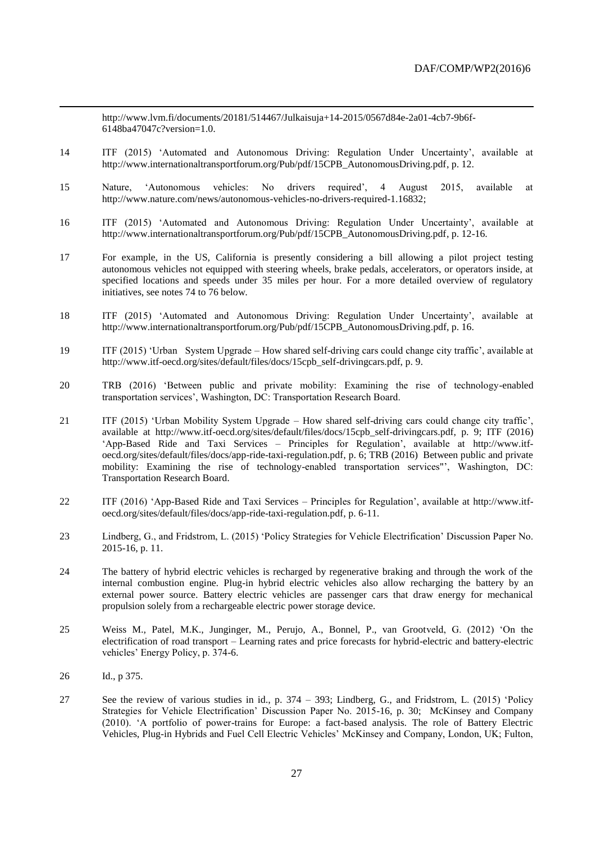http://www.lvm.fi/documents/20181/514467/Julkaisuja+14-2015/0567d84e-2a01-4cb7-9b6f-6148ba47047c?version=1.0.

- 14 ITF (2015) 'Automated and Autonomous Driving: Regulation Under Uncertainty', available at [http://www.internationaltransportforum.org/Pub/pdf/15CPB\\_AutonomousDriving.pdf,](http://www.internationaltransportforum.org/Pub/pdf/15CPB_AutonomousDriving.pdf) p. 12.
- 15 Nature, 'Autonomous vehicles: No drivers required', 4 August 2015, available at [http://www.nature.com/news/autonomous-vehicles-no-drivers-required-1.16832;](http://www.nature.com/news/autonomous-vehicles-no-drivers-required-1.16832)
- 16 ITF (2015) 'Automated and Autonomous Driving: Regulation Under Uncertainty', available at [http://www.internationaltransportforum.org/Pub/pdf/15CPB\\_AutonomousDriving.pdf,](http://www.internationaltransportforum.org/Pub/pdf/15CPB_AutonomousDriving.pdf) p. 12-16.
- 17 For example, in the US, California is presently considering a bill allowing a pilot project testing autonomous vehicles not equipped with steering wheels, brake pedals, accelerators, or operators inside, at specified locations and speeds under 35 miles per hour. For a more detailed overview of regulatory initiatives, see notes [74](#page-15-1) to [76](#page-15-2) below.
- 18 ITF (2015) 'Automated and Autonomous Driving: Regulation Under Uncertainty', available at [http://www.internationaltransportforum.org/Pub/pdf/15CPB\\_AutonomousDriving.pdf,](http://www.internationaltransportforum.org/Pub/pdf/15CPB_AutonomousDriving.pdf) p. 16.
- 19 ITF (2015) 'Urban System Upgrade How shared self-driving cars could change city traffic', available at [http://www.itf-oecd.org/sites/default/files/docs/15cpb\\_self-drivingcars.pdf,](http://www.itf-oecd.org/sites/default/files/docs/15cpb_self-drivingcars.pdf) p. 9.
- 20 TRB (2016) 'Between public and private mobility: Examining the rise of technology-enabled transportation services', Washington, DC: Transportation Research Board.
- 21 ITF (2015) 'Urban Mobility System Upgrade How shared self-driving cars could change city traffic', available at [http://www.itf-oecd.org/sites/default/files/docs/15cpb\\_self-drivingcars.pdf,](http://www.itf-oecd.org/sites/default/files/docs/15cpb_self-drivingcars.pdf) p. 9; ITF (2016) 'App-Based Ride and Taxi Services – Principles for Regulation', available at [http://www.itf](http://www.itf-oecd.org/sites/default/files/docs/app-ride-taxi-regulation.pdf)[oecd.org/sites/default/files/docs/app-ride-taxi-regulation.pdf,](http://www.itf-oecd.org/sites/default/files/docs/app-ride-taxi-regulation.pdf) p. 6; TRB (2016) Between public and private mobility: Examining the rise of technology-enabled transportation services"', Washington, DC: Transportation Research Board.
- 22 ITF (2016) 'App-Based Ride and Taxi Services Principles for Regulation', available at [http://www.itf](http://www.itf-oecd.org/sites/default/files/docs/app-ride-taxi-regulation.pdf)[oecd.org/sites/default/files/docs/app-ride-taxi-regulation.pdf,](http://www.itf-oecd.org/sites/default/files/docs/app-ride-taxi-regulation.pdf) p. 6-11.
- 23 Lindberg, G., and Fridstrom, L. (2015) 'Policy Strategies for Vehicle Electrification' Discussion Paper No. 2015-16, p. 11.
- 24 The battery of hybrid electric vehicles is recharged by regenerative braking and through the work of the internal combustion engine. Plug-in hybrid electric vehicles also allow recharging the battery by an external power source. Battery electric vehicles are passenger cars that draw energy for mechanical propulsion solely from a rechargeable electric power storage device.
- 25 Weiss M., Patel, M.K., Junginger, M., Perujo, A., Bonnel, P., van Grootveld, G. (2012) 'On the electrification of road transport – Learning rates and price forecasts for hybrid-electric and battery-electric vehicles' Energy Policy, p. 374-6.
- 26 Id., p 375.

 $\overline{a}$ 

27 See the review of various studies in id., p. 374 – 393; Lindberg, G., and Fridstrom, L. (2015) 'Policy Strategies for Vehicle Electrification' Discussion Paper No. 2015-16, p. 30; McKinsey and Company (2010). 'A portfolio of power-trains for Europe: a fact-based analysis. The role of Battery Electric Vehicles, Plug-in Hybrids and Fuel Cell Electric Vehicles' McKinsey and Company, London, UK; Fulton,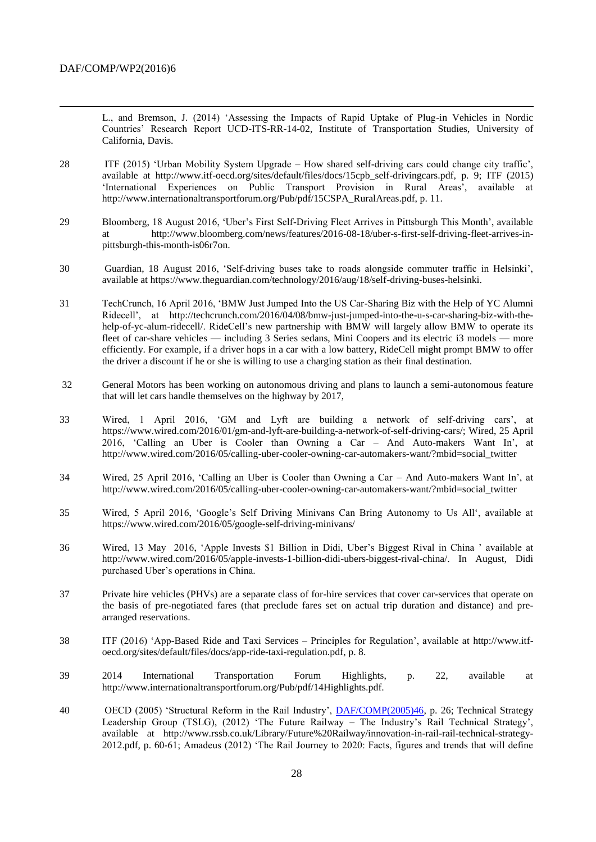$\overline{a}$ 

L., and Bremson, J. (2014) 'Assessing the Impacts of Rapid Uptake of Plug-in Vehicles in Nordic Countries' Research Report UCD-ITS-RR-14-02, Institute of Transportation Studies, University of California, Davis.

- 28 ITF (2015) 'Urban Mobility System Upgrade How shared self-driving cars could change city traffic', available at [http://www.itf-oecd.org/sites/default/files/docs/15cpb\\_self-drivingcars.pdf,](http://www.itf-oecd.org/sites/default/files/docs/15cpb_self-drivingcars.pdf) p. 9; ITF (2015) 'International Experiences on Public Transport Provision in Rural Areas', available at http://www.internationaltransportforum.org/Pub/pdf/15CSPA\_RuralAreas.pdf, p. 11.
- 29 Bloomberg, 18 August 2016, 'Uber's First Self-Driving Fleet Arrives in Pittsburgh This Month', available at http://www.bloomberg.com/news/features/2016-08-18/uber-s-first-self-driving-fleet-arrives-inpittsburgh-this-month-is06r7on.
- 30 Guardian, 18 August 2016, 'Self-driving buses take to roads alongside commuter traffic in Helsinki', available at https://www.theguardian.com/technology/2016/aug/18/self-driving-buses-helsinki.
- 31 TechCrunch, 16 April 2016, 'BMW Just Jumped Into the US Car-Sharing Biz with the Help of YC Alumni Ridecell', at [http://techcrunch.com/2016/04/08/bmw-just-jumped-into-the-u-s-car-sharing-biz-with-the](http://techcrunch.com/2016/04/08/bmw-just-jumped-into-the-u-s-car-sharing-biz-with-the-help-of-yc-alum-ridecell/)[help-of-yc-alum-ridecell/.](http://techcrunch.com/2016/04/08/bmw-just-jumped-into-the-u-s-car-sharing-biz-with-the-help-of-yc-alum-ridecell/) RideCell's new partnership with BMW will largely allow BMW to operate its fleet of car-share vehicles — including 3 Series sedans, Mini Coopers and its electric i3 models — more efficiently. For example, if a driver hops in a car with a low battery, RideCell might prompt BMW to offer the driver a discount if he or she is willing to use a charging station as their final destination.
- 32 General Motors has been working on autonomous driving and plans to launch a semi-autonomous feature that will let cars handle themselves on the highway by 2017,
- 33 Wired, 1 April 2016, 'GM and Lyft are building a network of self-driving cars', at [https://www.wired.com/2016/01/gm-and-lyft-are-building-a-network-of-self-driving-cars/;](https://www.wired.com/2016/01/gm-and-lyft-are-building-a-network-of-self-driving-cars/) Wired, 25 April 2016, 'Calling an Uber is Cooler than Owning a Car – And Auto-makers Want In', at http://www.wired.com/2016/05/calling-uber-cooler-owning-car-automakers-want/?mbid=social\_twitter
- 34 Wired, 25 April 2016, 'Calling an Uber is Cooler than Owning a Car And Auto-makers Want In', at http://www.wired.com/2016/05/calling-uber-cooler-owning-car-automakers-want/?mbid=social\_twitter
- 35 Wired, 5 April 2016, 'Google's Self Driving Minivans Can Bring Autonomy to Us All', available at https://www.wired.com/2016/05/google-self-driving-minivans/
- 36 Wired, 13 May 2016, 'Apple Invests \$1 Billion in Didi, Uber's Biggest Rival in China ' available at [http://www.wired.com/2016/05/apple-invests-1-billion-didi-ubers-biggest-rival-china/.](http://www.wired.com/2016/05/apple-invests-1-billion-didi-ubers-biggest-rival-china/) In August, Didi purchased Uber's operations in China.
- 37 Private hire vehicles (PHVs) are a separate class of for-hire services that cover car-services that operate on the basis of pre-negotiated fares (that preclude fares set on actual trip duration and distance) and prearranged reservations.
- 38 ITF (2016) 'App-Based Ride and Taxi Services Principles for Regulation', available at [http://www.itf](http://www.itf-oecd.org/sites/default/files/docs/app-ride-taxi-regulation.pdf)[oecd.org/sites/default/files/docs/app-ride-taxi-regulation.pdf,](http://www.itf-oecd.org/sites/default/files/docs/app-ride-taxi-regulation.pdf) p. 8.
- 39 2014 International Transportation Forum Highlights, p. 22, available at http://www.internationaltransportforum.org/Pub/pdf/14Highlights.pdf.
- 40 OECD (2005) 'Structural Reform in the Rail Industry', [DAF/COMP\(2005\)46,](http://www2.oecd.org/oecdinfo/info.aspx?app=OLIScoteEN&Ref=DAF/COMP(2005)46) p. 26; Technical Strategy Leadership Group (TSLG), (2012) 'The Future Railway – The Industry's Rail Technical Strategy', available at http://www.rssb.co.uk/Library/Future%20Railway/innovation-in-rail-rail-technical-strategy-2012.pdf, p. 60-61; Amadeus (2012) 'The Rail Journey to 2020: Facts, figures and trends that will define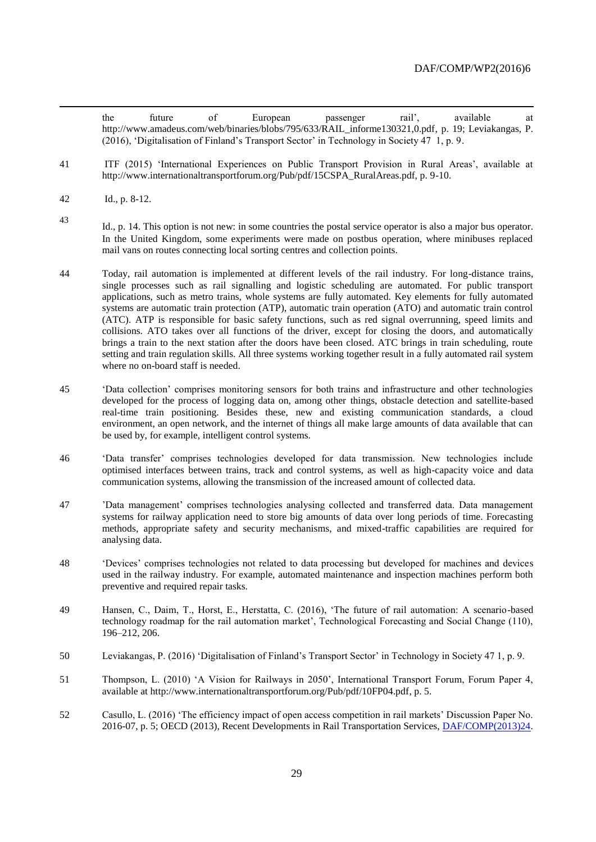the future of European passenger rail', available at [http://www.amadeus.com/web/binaries/blobs/795/633/RAIL\\_informe130321,0.pdf,](http://www.amadeus.com/web/binaries/blobs/795/633/RAIL_informe130321,0.pdf) p. 19; Leviakangas, P. (2016), 'Digitalisation of Finland's Transport Sector' in Technology in Society 47 1, p. 9.

- 41 ITF (2015) 'International Experiences on Public Transport Provision in Rural Areas', available at http://www.internationaltransportforum.org/Pub/pdf/15CSPA\_RuralAreas.pdf, p. 9-10.
- 42 Id., p. 8-12.

- <sup>43</sup> Id., p. 14. This option is not new: in some countries the postal service operator is also a major bus operator. In the United Kingdom, some experiments were made on postbus operation, where minibuses replaced mail vans on routes connecting local sorting centres and collection points.
- 44 Today, rail automation is implemented at different levels of the rail industry. For long-distance trains, single processes such as rail signalling and logistic scheduling are automated. For public transport applications, such as metro trains, whole systems are fully automated. Key elements for fully automated systems are automatic train protection (ATP), automatic train operation (ATO) and automatic train control (ATC). ATP is responsible for basic safety functions, such as red signal overrunning, speed limits and collisions. ATO takes over all functions of the driver, except for closing the doors, and automatically brings a train to the next station after the doors have been closed. ATC brings in train scheduling, route setting and train regulation skills. All three systems working together result in a fully automated rail system where no on-board staff is needed.
- 45 'Data collection' comprises monitoring sensors for both trains and infrastructure and other technologies developed for the process of logging data on, among other things, obstacle detection and satellite-based real-time train positioning. Besides these, new and existing communication standards, a cloud environment, an open network, and the internet of things all make large amounts of data available that can be used by, for example, intelligent control systems.
- 46 'Data transfer' comprises technologies developed for data transmission. New technologies include optimised interfaces between trains, track and control systems, as well as high-capacity voice and data communication systems, allowing the transmission of the increased amount of collected data.
- 47 'Data management' comprises technologies analysing collected and transferred data. Data management systems for railway application need to store big amounts of data over long periods of time. Forecasting methods, appropriate safety and security mechanisms, and mixed-traffic capabilities are required for analysing data.
- 48 'Devices' comprises technologies not related to data processing but developed for machines and devices used in the railway industry. For example, automated maintenance and inspection machines perform both preventive and required repair tasks.
- 49 Hansen, C., Daim, T., Horst, E., Herstatta, C. (2016), 'The future of rail automation: A scenario-based technology roadmap for the rail automation market', Technological Forecasting and Social Change (110), 196–212, 206.
- 50 Leviakangas, P. (2016) 'Digitalisation of Finland's Transport Sector' in Technology in Society 47 1, p. 9.
- 51 Thompson, L. (2010) 'A Vision for Railways in 2050', International Transport Forum, Forum Paper 4, available at [http://www.internationaltransportforum.org/Pub/pdf/10FP04.pdf,](http://www.internationaltransportforum.org/Pub/pdf/10FP04.pdf) p. 5.
- 52 Casullo, L. (2016) 'The efficiency impact of open access competition in rail markets' Discussion Paper No. 2016-07, p. 5; OECD (2013), Recent Developments in Rail Transportation Services, [DAF/COMP\(2013\)24.](http://www2.oecd.org/oecdinfo/info.aspx?app=OLIScoteEN&Ref=DAF/COMP(2013)24)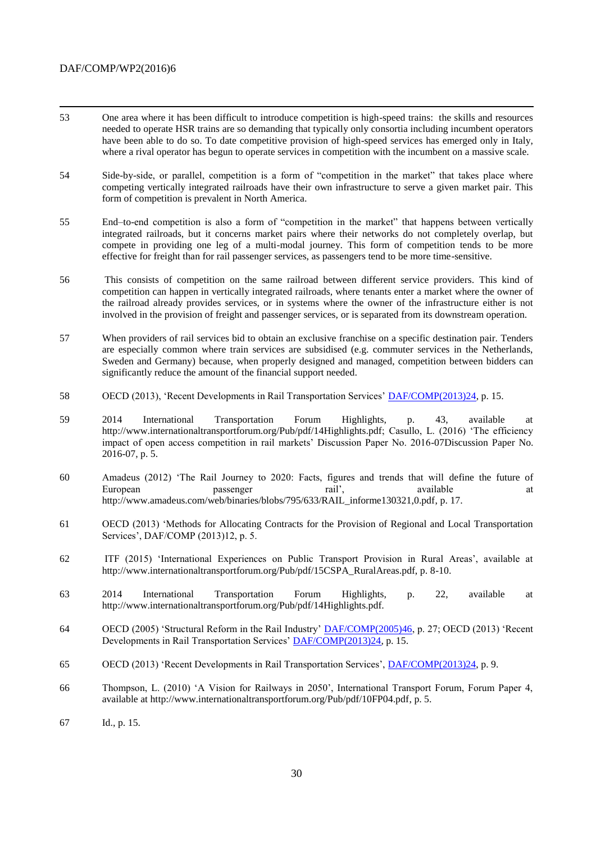- 53 One area where it has been difficult to introduce competition is high-speed trains: the skills and resources needed to operate HSR trains are so demanding that typically only consortia including incumbent operators have been able to do so. To date competitive provision of high-speed services has emerged only in Italy, where a rival operator has begun to operate services in competition with the incumbent on a massive scale.
- 54 Side-by-side, or parallel, competition is a form of "competition in the market" that takes place where competing vertically integrated railroads have their own infrastructure to serve a given market pair. This form of competition is prevalent in North America.
- 55 End–to-end competition is also a form of "competition in the market" that happens between vertically integrated railroads, but it concerns market pairs where their networks do not completely overlap, but compete in providing one leg of a multi-modal journey. This form of competition tends to be more effective for freight than for rail passenger services, as passengers tend to be more time-sensitive.
- 56 This consists of competition on the same railroad between different service providers. This kind of competition can happen in vertically integrated railroads, where tenants enter a market where the owner of the railroad already provides services, or in systems where the owner of the infrastructure either is not involved in the provision of freight and passenger services, or is separated from its downstream operation.
- 57 When providers of rail services bid to obtain an exclusive franchise on a specific destination pair. Tenders are especially common where train services are subsidised (e.g. commuter services in the Netherlands, Sweden and Germany) because, when properly designed and managed, competition between bidders can significantly reduce the amount of the financial support needed.
- 58 OECD (2013), 'Recent Developments in Rail Transportation Services' [DAF/COMP\(2013\)24,](http://www2.oecd.org/oecdinfo/info.aspx?app=OLIScoteEN&Ref=DAF/COMP(2013)24) p. 15.
- 59 2014 International Transportation Forum Highlights, p. 43, available at [http://www.internationaltransportforum.org/Pub/pdf/14Highlights.pdf;](http://www.internationaltransportforum.org/Pub/pdf/14Highlights.pdf) Casullo, L. (2016) 'The efficiency impact of open access competition in rail markets' Discussion Paper No. 2016-07Discussion Paper No. 2016-07, p. 5.
- 60 Amadeus (2012) 'The Rail Journey to 2020: Facts, figures and trends that will define the future of European passenger rail', available at the available at the passenger rail', available at the at [http://www.amadeus.com/web/binaries/blobs/795/633/RAIL\\_informe130321,0.pdf,](http://www.amadeus.com/web/binaries/blobs/795/633/RAIL_informe130321,0.pdf) p. 17.
- 61 OECD (2013) 'Methods for Allocating Contracts for the Provision of Regional and Local Transportation Services', DAF/COMP (2013)12, p. 5.
- 62 ITF (2015) 'International Experiences on Public Transport Provision in Rural Areas', available at http://www.internationaltransportforum.org/Pub/pdf/15CSPA\_RuralAreas.pdf, p. 8-10.
- 63 2014 International Transportation Forum Highlights, p. 22, available at http://www.internationaltransportforum.org/Pub/pdf/14Highlights.pdf.
- 64 OECD (2005) 'Structural Reform in the Rail Industry' [DAF/COMP\(2005\)46,](http://www2.oecd.org/oecdinfo/info.aspx?app=OLIScoteEN&Ref=DAF/COMP(2005)46) p. 27; OECD (2013) 'Recent Developments in Rail Transportation Services' [DAF/COMP\(2013\)24,](http://www2.oecd.org/oecdinfo/info.aspx?app=OLIScoteEN&Ref=DAF/COMP(2013)24) p. 15.
- 65 OECD (2013) 'Recent Developments in Rail Transportation Services', [DAF/COMP\(2013\)24,](http://www2.oecd.org/oecdinfo/info.aspx?app=OLIScoteEN&Ref=DAF/COMP(2013)24) p. 9.
- 66 Thompson, L. (2010) 'A Vision for Railways in 2050', International Transport Forum, Forum Paper 4, available at [http://www.internationaltransportforum.org/Pub/pdf/10FP04.pdf,](http://www.internationaltransportforum.org/Pub/pdf/10FP04.pdf) p. 5.
- 67 Id., p. 15.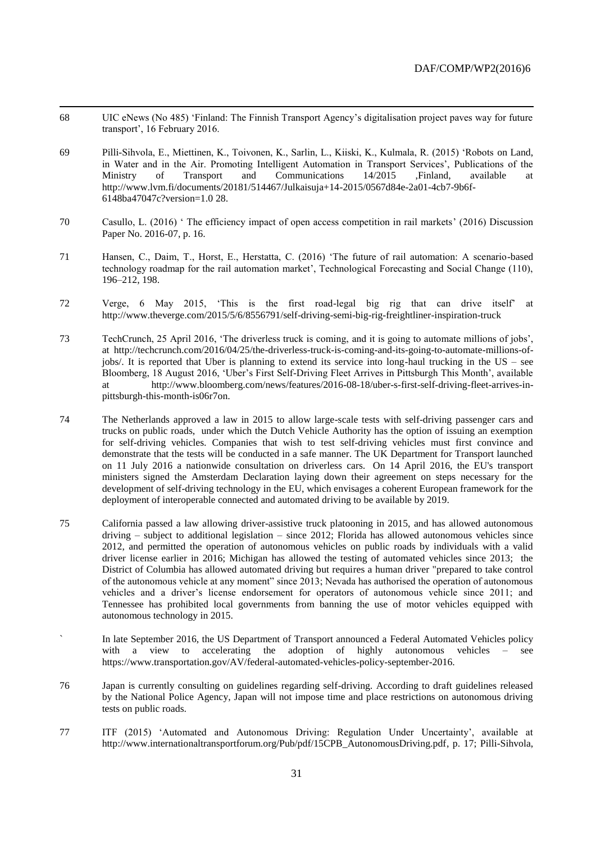68 UIC eNews (No 485) 'Finland: The Finnish Transport Agency's digitalisation project paves way for future transport', 16 February 2016.

- 69 Pilli-Sihvola, E., Miettinen, K., Toivonen, K., Sarlin, L., Kiiski, K., Kulmala, R. (2015) 'Robots on Land, in Water and in the Air. Promoting Intelligent Automation in Transport Services', Publications of the Ministry of Transport and Communications 14/2015 ,Finland, available at [http://www.lvm.fi/documents/20181/514467/Julkaisuja+14-2015/0567d84e-2a01-4cb7-9b6f-](http://www.lvm.fi/documents/20181/514467/Julkaisuja+14-2015/0567d84e-2a01-4cb7-9b6f-6148ba47047c?version=1.0)[6148ba47047c?version=1.0](http://www.lvm.fi/documents/20181/514467/Julkaisuja+14-2015/0567d84e-2a01-4cb7-9b6f-6148ba47047c?version=1.0) 28.
- 70 Casullo, L. (2016) ' The efficiency impact of open access competition in rail markets' (2016) Discussion Paper No. 2016-07, p. 16.
- 71 Hansen, C., Daim, T., Horst, E., Herstatta, C. (2016) 'The future of rail automation: A scenario-based technology roadmap for the rail automation market', Technological Forecasting and Social Change (110), 196–212, 198.
- 72 Verge, 6 May 2015, 'This is the first road-legal big rig that can drive itself' at http://www.theverge.com/2015/5/6/8556791/self-driving-semi-big-rig-freightliner-inspiration-truck
- 73 TechCrunch, 25 April 2016, 'The driverless truck is coming, and it is going to automate millions of jobs', at [http://techcrunch.com/2016/04/25/the-driverless-truck-is-coming-and-its-going-to-automate-millions-of](http://techcrunch.com/2016/04/25/the-driverless-truck-is-coming-and-its-going-to-automate-millions-of-jobs/)[jobs/.](http://techcrunch.com/2016/04/25/the-driverless-truck-is-coming-and-its-going-to-automate-millions-of-jobs/) It is reported that Uber is planning to extend its service into long-haul trucking in the US – see Bloomberg, 18 August 2016, 'Uber's First Self-Driving Fleet Arrives in Pittsburgh This Month', available at http://www.bloomberg.com/news/features/2016-08-18/uber-s-first-self-driving-fleet-arrives-inpittsburgh-this-month-is06r7on.
- 74 The Netherlands approved a law in 2015 to allow large-scale tests with self-driving passenger cars and trucks on public roads, under which the Dutch Vehicle Authority has the option of issuing an exemption for self-driving vehicles. Companies that wish to test self-driving vehicles must first convince and demonstrate that the tests will be conducted in a safe manner. The UK Department for Transport launched on 11 July 2016 a nationwide consultation on driverless cars. On 14 April 2016, the EU's transport ministers signed the Amsterdam Declaration laying down their agreement on steps necessary for the development of self-driving technology in the EU, which envisages a coherent European framework for the deployment of interoperable connected and automated driving to be available by 2019.
- 75 California passed a law allowing driver-assistive truck platooning in 2015, and has allowed autonomous driving – subject to additional legislation – since 2012; Florida has allowed autonomous vehicles since 2012, and permitted the operation of autonomous vehicles on public roads by individuals with a valid driver license earlier in 2016; Michigan has allowed the testing of automated vehicles since 2013; the District of Columbia has allowed automated driving but requires a human driver "prepared to take control of the autonomous vehicle at any moment" since 2013; Nevada has authorised the operation of autonomous vehicles and a driver's license endorsement for operators of autonomous vehicle since 2011; and Tennessee has prohibited local governments from banning the use of motor vehicles equipped with autonomous technology in 2015.
- In late September 2016, the US Department of Transport announced a Federal Automated Vehicles policy with a view to accelerating the adoption of highly autonomous vehicles – see https://www.transportation.gov/AV/federal-automated-vehicles-policy-september-2016.
- 76 Japan is currently consulting on guidelines regarding self-driving. According to draft guidelines released by the National Police Agency, Japan will not impose time and place restrictions on autonomous driving tests on public roads.
- 77 ITF (2015) 'Automated and Autonomous Driving: Regulation Under Uncertainty', available at [http://www.internationaltransportforum.org/Pub/pdf/15CPB\\_AutonomousDriving.pdf,](http://www.internationaltransportforum.org/Pub/pdf/15CPB_AutonomousDriving.pdf) p. 17; Pilli-Sihvola,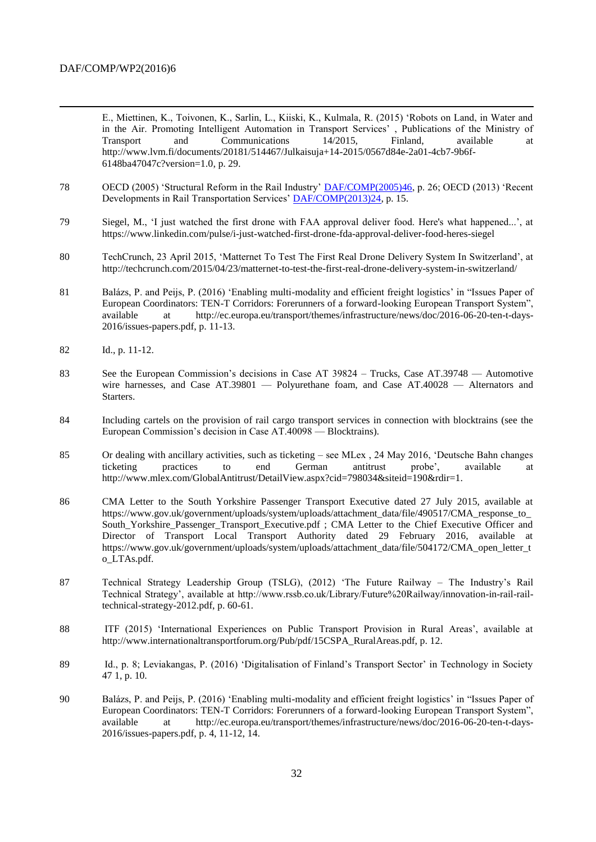$\overline{a}$ 

E., Miettinen, K., Toivonen, K., Sarlin, L., Kiiski, K., Kulmala, R. (2015) 'Robots on Land, in Water and in the Air. Promoting Intelligent Automation in Transport Services' , Publications of the Ministry of Transport and Communications 14/2015, Finland, available at [http://www.lvm.fi/documents/20181/514467/Julkaisuja+14-2015/0567d84e-2a01-4cb7-9b6f-](http://www.lvm.fi/documents/20181/514467/Julkaisuja+14-2015/0567d84e-2a01-4cb7-9b6f-6148ba47047c?version=1.0)[6148ba47047c?version=1.0,](http://www.lvm.fi/documents/20181/514467/Julkaisuja+14-2015/0567d84e-2a01-4cb7-9b6f-6148ba47047c?version=1.0) p. 29.

- 78 OECD (2005) 'Structural Reform in the Rail Industry' **DAF/COMP**(2005)46, p. 26; OECD (2013) 'Recent Developments in Rail Transportation Services' [DAF/COMP\(2013\)24,](http://www2.oecd.org/oecdinfo/info.aspx?app=OLIScoteEN&Ref=DAF/COMP(2013)24) p. 15.
- 79 Siegel, M., 'I just watched the first drone with FAA approval deliver food. Here's what happened...', at https://www.linkedin.com/pulse/i-just-watched-first-drone-fda-approval-deliver-food-heres-siegel
- 80 TechCrunch, 23 April 2015, 'Matternet To Test The First Real Drone Delivery System In Switzerland', at http://techcrunch.com/2015/04/23/matternet-to-test-the-first-real-drone-delivery-system-in-switzerland/
- 81 Balázs, P. and Peijs, P. (2016) 'Enabling multi-modality and efficient freight logistics' in "Issues Paper of European Coordinators: TEN-T Corridors: Forerunners of a forward-looking European Transport System", available at http://ec.europa.eu/transport/themes/infrastructure/news/doc/2016-06-20-ten-t-days-2016/issues-papers.pdf, p. 11-13.
- 82 Id., p. 11-12.
- 83 See the European Commission's decisions in Case AT 39824 Trucks, Case AT.39748 Automotive wire harnesses, and Case AT.39801 — Polyurethane foam, and Case AT.40028 — Alternators and Starters.
- 84 Including cartels on the provision of rail cargo transport services in connection with blocktrains (see the European Commission's decision in Case AT.40098 — Blocktrains).
- 85 Or dealing with ancillary activities, such as ticketing see MLex , 24 May 2016, 'Deutsche Bahn changes ticketing practices to end German antitrust probe', available at http://www.mlex.com/GlobalAntitrust/DetailView.aspx?cid=798034&siteid=190&rdir=1.
- 86 CMA Letter to the South Yorkshire Passenger Transport Executive dated 27 July 2015, available at https://www.gov.uk/government/uploads/system/uploads/attachment\_data/file/490517/CMA\_response\_to\_ South Yorkshire Passenger Transport Executive.pdf ; CMA Letter to the Chief Executive Officer and Director of Transport Local Transport Authority dated 29 February 2016, available at https://www.gov.uk/government/uploads/system/uploads/attachment\_data/file/504172/CMA\_open\_letter\_t o\_LTAs.pdf.
- 87 Technical Strategy Leadership Group (TSLG), (2012) 'The Future Railway The Industry's Rail Technical Strategy', available at http://www.rssb.co.uk/Library/Future%20Railway/innovation-in-rail-railtechnical-strategy-2012.pdf, p. 60-61.
- 88 ITF (2015) 'International Experiences on Public Transport Provision in Rural Areas', available at http://www.internationaltransportforum.org/Pub/pdf/15CSPA\_RuralAreas.pdf, p. 12.
- 89 Id., p. 8; Leviakangas, P. (2016) 'Digitalisation of Finland's Transport Sector' in Technology in Society 47 1, p. 10.
- 90 Balázs, P. and Peijs, P. (2016) 'Enabling multi-modality and efficient freight logistics' in "Issues Paper of European Coordinators: TEN-T Corridors: Forerunners of a forward-looking European Transport System", available at http://ec.europa.eu/transport/themes/infrastructure/news/doc/2016-06-20-ten-t-days-2016/issues-papers.pdf, p. 4, 11-12, 14.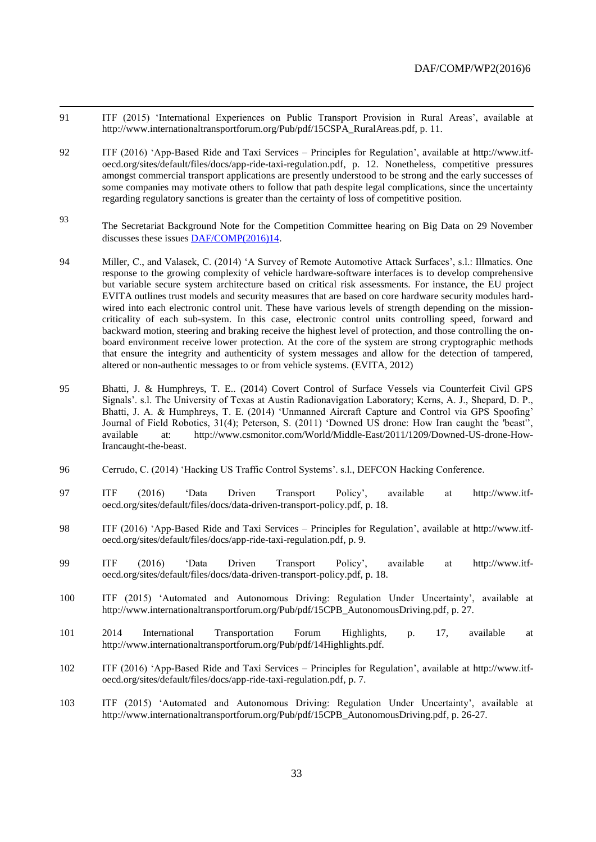91 ITF (2015) 'International Experiences on Public Transport Provision in Rural Areas', available at http://www.internationaltransportforum.org/Pub/pdf/15CSPA\_RuralAreas.pdf, p. 11.

- 92 ITF (2016) 'App-Based Ride and Taxi Services Principles for Regulation', available at [http://www.itf](http://www.itf-oecd.org/sites/default/files/docs/app-ride-taxi-regulation.pdf)[oecd.org/sites/default/files/docs/app-ride-taxi-regulation.pdf,](http://www.itf-oecd.org/sites/default/files/docs/app-ride-taxi-regulation.pdf) p. 12. Nonetheless, competitive pressures amongst commercial transport applications are presently understood to be strong and the early successes of some companies may motivate others to follow that path despite legal complications, since the uncertainty regarding regulatory sanctions is greater than the certainty of loss of competitive position.
- <sup>93</sup> The Secretariat Background Note for the Competition Committee hearing on Big Data on 29 November discusses these issues [DAF/COMP\(2016\)14.](http://www2.oecd.org/oecdinfo/info.aspx?app=OLIScoteEN&Ref=DAF/COMP(2016)14)
- 94 Miller, C., and Valasek, C. (2014) 'A Survey of Remote Automotive Attack Surfaces', s.l.: Illmatics. One response to the growing complexity of vehicle hardware-software interfaces is to develop comprehensive but variable secure system architecture based on critical risk assessments. For instance, the EU project EVITA outlines trust models and security measures that are based on core hardware security modules hardwired into each electronic control unit. These have various levels of strength depending on the missioncriticality of each sub-system. In this case, electronic control units controlling speed, forward and backward motion, steering and braking receive the highest level of protection, and those controlling the onboard environment receive lower protection. At the core of the system are strong cryptographic methods that ensure the integrity and authenticity of system messages and allow for the detection of tampered, altered or non-authentic messages to or from vehicle systems. (EVITA, 2012)
- 95 Bhatti, J. & Humphreys, T. E.. (2014) Covert Control of Surface Vessels via Counterfeit Civil GPS Signals'. s.l. The University of Texas at Austin Radionavigation Laboratory; Kerns, A. J., Shepard, D. P., Bhatti, J. A. & Humphreys, T. E. (2014) 'Unmanned Aircraft Capture and Control via GPS Spoofing' Journal of Field Robotics, 31(4); Peterson, S. (2011) 'Downed US drone: How Iran caught the 'beast'', available at: [http://www.csmonitor.com/World/Middle-East/2011/1209/Downed-US-drone-How-](http://www.csmonitor.com/World/Middle-East/2011/1209/Downed-US-drone-How-Irancaught-)[Irancaught-t](http://www.csmonitor.com/World/Middle-East/2011/1209/Downed-US-drone-How-Irancaught-)he-beast.
- 96 Cerrudo, C. (2014) 'Hacking US Traffic Control Systems'. s.l., DEFCON Hacking Conference.
- 97 ITF (2016) 'Data Driven Transport Policy', available at [http://www.itf](http://www.itf-oecd.org/sites/default/files/docs/data-driven-transport-policy.pdf)[oecd.org/sites/default/files/docs/data-driven-transport-policy.pdf,](http://www.itf-oecd.org/sites/default/files/docs/data-driven-transport-policy.pdf) p. 18.
- 98 ITF (2016) 'App-Based Ride and Taxi Services Principles for Regulation', available at [http://www.itf](http://www.itf-oecd.org/sites/default/files/docs/app-ride-taxi-regulation.pdf)[oecd.org/sites/default/files/docs/app-ride-taxi-regulation.pdf,](http://www.itf-oecd.org/sites/default/files/docs/app-ride-taxi-regulation.pdf) p. 9.
- 99 ITF (2016) 'Data Driven Transport Policy', available at [http://www.itf](http://www.itf-oecd.org/sites/default/files/docs/data-driven-transport-policy.pdf)[oecd.org/sites/default/files/docs/data-driven-transport-policy.pdf,](http://www.itf-oecd.org/sites/default/files/docs/data-driven-transport-policy.pdf) p. 18.
- 100 ITF (2015) 'Automated and Autonomous Driving: Regulation Under Uncertainty', available at [http://www.internationaltransportforum.org/Pub/pdf/15CPB\\_AutonomousDriving.pdf,](http://www.internationaltransportforum.org/Pub/pdf/15CPB_AutonomousDriving.pdf) p. 27.
- 101 2014 International Transportation Forum Highlights, p. 17, available at http://www.internationaltransportforum.org/Pub/pdf/14Highlights.pdf.
- 102 ITF (2016) 'App-Based Ride and Taxi Services Principles for Regulation', available at [http://www.itf](http://www.itf-oecd.org/sites/default/files/docs/app-ride-taxi-regulation.pdf)[oecd.org/sites/default/files/docs/app-ride-taxi-regulation.pdf,](http://www.itf-oecd.org/sites/default/files/docs/app-ride-taxi-regulation.pdf) p. 7.
- 103 ITF (2015) 'Automated and Autonomous Driving: Regulation Under Uncertainty', available at [http://www.internationaltransportforum.org/Pub/pdf/15CPB\\_AutonomousDriving.pdf,](http://www.internationaltransportforum.org/Pub/pdf/15CPB_AutonomousDriving.pdf) p. 26-27.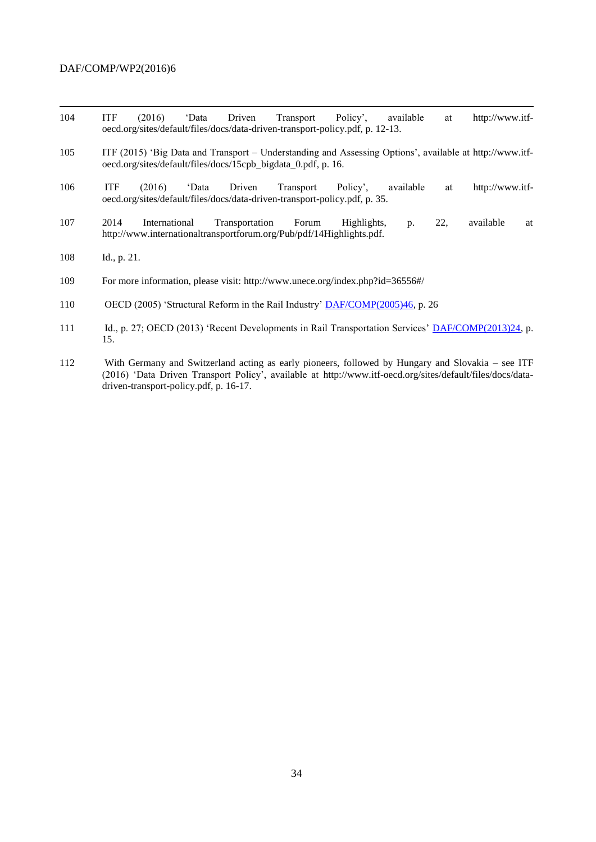- 104 ITF (2016) 'Data Driven Transport Policy', available at [http://www.itf](http://www.itf-oecd.org/sites/default/files/docs/data-driven-transport-policy.pdf)[oecd.org/sites/default/files/docs/data-driven-transport-policy.pdf,](http://www.itf-oecd.org/sites/default/files/docs/data-driven-transport-policy.pdf) p. 12-13.
- 105 ITF (2015) 'Big Data and Transport Understanding and Assessing Options', available at [http://www.itf](http://www.itf-oecd.org/sites/default/files/docs/15cpb_bigdata_0.pdf)[oecd.org/sites/default/files/docs/15cpb\\_bigdata\\_0.pdf,](http://www.itf-oecd.org/sites/default/files/docs/15cpb_bigdata_0.pdf) p. 16.
- 106 ITF (2016) 'Data Driven Transport Policy', available at [http://www.itf](http://www.itf-oecd.org/sites/default/files/docs/data-driven-transport-policy.pdf)[oecd.org/sites/default/files/docs/data-driven-transport-policy.pdf,](http://www.itf-oecd.org/sites/default/files/docs/data-driven-transport-policy.pdf) p. 35.
- 107 2014 International Transportation Forum Highlights, p. 22, available at http://www.internationaltransportforum.org/Pub/pdf/14Highlights.pdf.
- 108 Id., p. 21.
- 109 For more information, please visit: http://www.unece.org/index.php?id=36556#/
- 110 OECD (2005) 'Structural Reform in the Rail Industry' **DAF/COMP**(2005)46, p. 26
- 111 Id., p. 27; OECD (2013) 'Recent Developments in Rail Transportation Services' [DAF/COMP\(2013\)24,](http://www2.oecd.org/oecdinfo/info.aspx?app=OLIScoteEN&Ref=DAF/COMP(2013)24) p. 15.
- 112 With Germany and Switzerland acting as early pioneers, followed by Hungary and Slovakia see ITF (2016) 'Data Driven Transport Policy', available at [http://www.itf-oecd.org/sites/default/files/docs/data](http://www.itf-oecd.org/sites/default/files/docs/data-driven-transport-policy.pdf)[driven-transport-policy.pdf,](http://www.itf-oecd.org/sites/default/files/docs/data-driven-transport-policy.pdf) p. 16-17.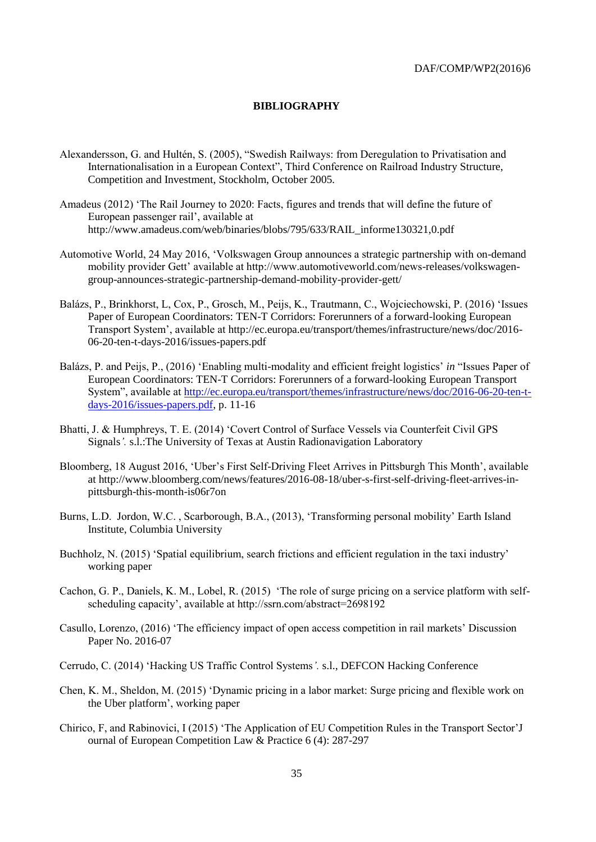### <span id="page-34-0"></span>**BIBLIOGRAPHY**

- Alexandersson, G. and Hultén, S. (2005), "Swedish Railways: from Deregulation to Privatisation and Internationalisation in a European Context", Third Conference on Railroad Industry Structure, Competition and Investment, Stockholm, October 2005.
- Amadeus (2012) 'The Rail Journey to 2020: Facts, figures and trends that will define the future of European passenger rail', available at http://www.amadeus.com/web/binaries/blobs/795/633/RAIL\_informe130321,0.pdf
- Automotive World, 24 May 2016, 'Volkswagen Group announces a strategic partnership with on-demand mobility provider Gett' available at http://www.automotiveworld.com/news-releases/volkswagengroup-announces-strategic-partnership-demand-mobility-provider-gett/
- Balázs, P., Brinkhorst, L, Cox, P., Grosch, M., Peijs, K., Trautmann, C., Wojciechowski, P. (2016) 'Issues Paper of European Coordinators: TEN-T Corridors: Forerunners of a forward-looking European Transport System', available at http://ec.europa.eu/transport/themes/infrastructure/news/doc/2016- 06-20-ten-t-days-2016/issues-papers.pdf
- Balázs, P. and Peijs, P., (2016) 'Enabling multi-modality and efficient freight logistics' *in* "Issues Paper of European Coordinators: TEN-T Corridors: Forerunners of a forward-looking European Transport System", available at [http://ec.europa.eu/transport/themes/infrastructure/news/doc/2016-06-20-ten-t](http://ec.europa.eu/transport/themes/infrastructure/news/doc/2016-06-20-ten-t-days-2016/issues-papers.pdf)[days-2016/issues-papers.pdf,](http://ec.europa.eu/transport/themes/infrastructure/news/doc/2016-06-20-ten-t-days-2016/issues-papers.pdf) p. 11-16
- Bhatti, J. & Humphreys, T. E. (2014) 'Covert Control of Surface Vessels via Counterfeit Civil GPS Signals*'.* s.l.:The University of Texas at Austin Radionavigation Laboratory
- Bloomberg, 18 August 2016, 'Uber's First Self-Driving Fleet Arrives in Pittsburgh This Month', available at http://www.bloomberg.com/news/features/2016-08-18/uber-s-first-self-driving-fleet-arrives-inpittsburgh-this-month-is06r7on
- Burns, L.D. Jordon, W.C. , Scarborough, B.A., (2013), 'Transforming personal mobility' Earth Island Institute, Columbia University
- Buchholz, N. (2015) 'Spatial equilibrium, search frictions and efficient regulation in the taxi industry' working paper
- Cachon, G. P., Daniels, K. M., Lobel, R. (2015) 'The role of surge pricing on a service platform with selfscheduling capacity', available at http://ssrn.com/abstract=2698192
- Casullo, Lorenzo, (2016) 'The efficiency impact of open access competition in rail markets' Discussion Paper No. 2016-07
- Cerrudo, C. (2014) 'Hacking US Traffic Control Systems*'.* s.l., DEFCON Hacking Conference
- Chen, K. M., Sheldon, M. (2015) 'Dynamic pricing in a labor market: Surge pricing and flexible work on the Uber platform', working paper
- Chirico, F, and Rabinovici, I (2015) 'The Application of EU Competition Rules in the Transport Sector'J ournal of European Competition Law & Practice 6 (4): 287-297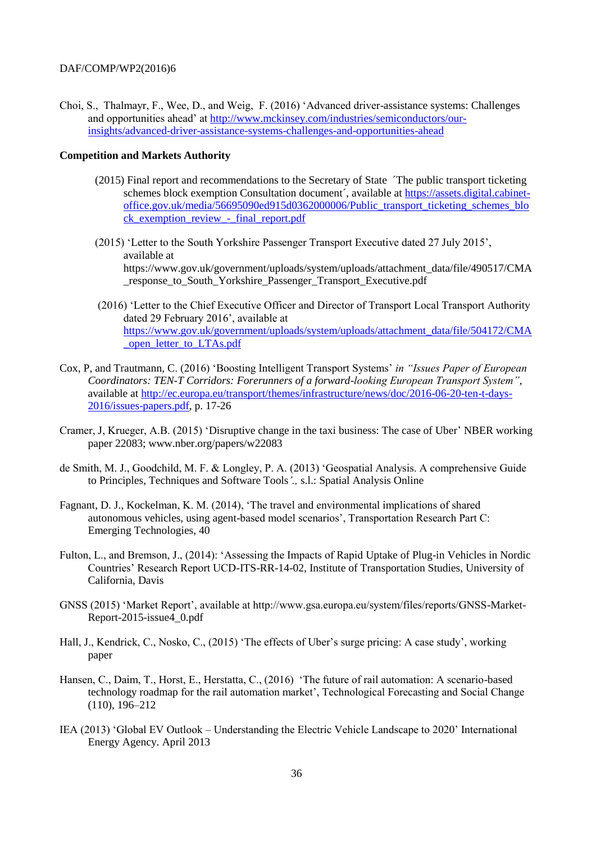Choi, S., Thalmayr, F., Wee, D., and Weig, F. (2016) 'Advanced driver-assistance systems: Challenges and opportunities ahead' at [http://www.mckinsey.com/industries/semiconductors/our](http://www.mckinsey.com/industries/semiconductors/our-insights/advanced-driver-assistance-systems-challenges-and-opportunities-ahead)[insights/advanced-driver-assistance-systems-challenges-and-opportunities-ahead](http://www.mckinsey.com/industries/semiconductors/our-insights/advanced-driver-assistance-systems-challenges-and-opportunities-ahead)

#### **Competition and Markets Authority**

- (2015) Final report and recommendations to the Secretary of State ´The public transport ticketing schemes block exemption Consultation document´, available at [https://assets.digital.cabinet](https://assets.digital.cabinet-office.gov.uk/media/56695090ed915d0362000006/Public_transport_ticketing_schemes_block_exemption_review_-_final_report.pdf)[office.gov.uk/media/56695090ed915d0362000006/Public\\_transport\\_ticketing\\_schemes\\_blo](https://assets.digital.cabinet-office.gov.uk/media/56695090ed915d0362000006/Public_transport_ticketing_schemes_block_exemption_review_-_final_report.pdf) ck exemption review - final report.pdf
- (2015) 'Letter to the South Yorkshire Passenger Transport Executive dated 27 July 2015', available at https://www.gov.uk/government/uploads/system/uploads/attachment\_data/file/490517/CMA \_response\_to\_South\_Yorkshire\_Passenger\_Transport\_Executive.pdf
- (2016) 'Letter to the Chief Executive Officer and Director of Transport Local Transport Authority dated 29 February 2016', available at [https://www.gov.uk/government/uploads/system/uploads/attachment\\_data/file/504172/CMA](https://www.gov.uk/government/uploads/system/uploads/attachment_data/file/504172/CMA_open_letter_to_LTAs.pdf) open letter to LTAs.pdf
- Cox, P, and Trautmann, C. (2016) 'Boosting Intelligent Transport Systems' *in "Issues Paper of European Coordinators: TEN-T Corridors: Forerunners of a forward-looking European Transport System"*, available at [http://ec.europa.eu/transport/themes/infrastructure/news/doc/2016-06-20-ten-t-days-](http://ec.europa.eu/transport/themes/infrastructure/news/doc/2016-06-20-ten-t-days-2016/issues-papers.pdf)[2016/issues-papers.pdf,](http://ec.europa.eu/transport/themes/infrastructure/news/doc/2016-06-20-ten-t-days-2016/issues-papers.pdf) p. 17-26
- Cramer, J, Krueger, A.B. (2015) 'Disruptive change in the taxi business: The case of Uber' NBER working paper 22083; www.nber.org/papers/w22083
- de Smith, M. J., Goodchild, M. F. & Longley, P. A. (2013) 'Geospatial Analysis. A comprehensive Guide to Principles, Techniques and Software Tools*'.,* s.l.: Spatial Analysis Online
- Fagnant, D. J., Kockelman, K. M. (2014), 'The travel and environmental implications of shared autonomous vehicles, using agent-based model scenarios', Transportation Research Part C: Emerging Technologies, 40
- Fulton, L., and Bremson, J., (2014): 'Assessing the Impacts of Rapid Uptake of Plug-in Vehicles in Nordic Countries' Research Report UCD-ITS-RR-14-02, Institute of Transportation Studies, University of California, Davis
- GNSS (2015) 'Market Report', available at http://www.gsa.europa.eu/system/files/reports/GNSS-Market-Report-2015-issue4\_0.pdf
- Hall, J., Kendrick, C., Nosko, C., (2015) 'The effects of Uber's surge pricing: A case study', working paper
- Hansen, C., Daim, T., Horst, E., Herstatta, C., (2016) 'The future of rail automation: A scenario-based technology roadmap for the rail automation market', Technological Forecasting and Social Change (110), 196–212
- IEA (2013) 'Global EV Outlook Understanding the Electric Vehicle Landscape to 2020' International Energy Agency. April 2013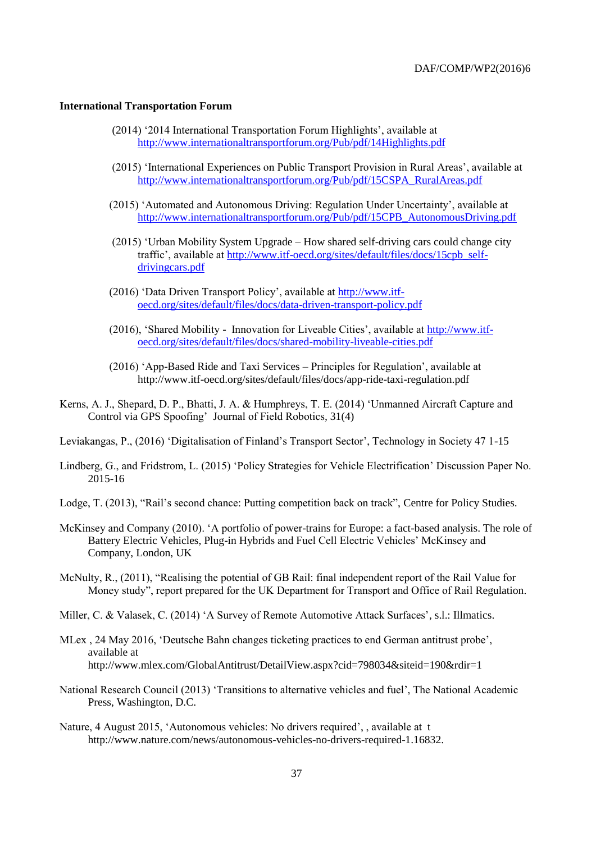#### **International Transportation Forum**

- (2014) '2014 International Transportation Forum Highlights', available at <http://www.internationaltransportforum.org/Pub/pdf/14Highlights.pdf>
- (2015) 'International Experiences on Public Transport Provision in Rural Areas', available at [http://www.internationaltransportforum.org/Pub/pdf/15CSPA\\_RuralAreas.pdf](http://www.internationaltransportforum.org/Pub/pdf/15CSPA_RuralAreas.pdf)
- (2015) 'Automated and Autonomous Driving: Regulation Under Uncertainty', available at [http://www.internationaltransportforum.org/Pub/pdf/15CPB\\_AutonomousDriving.pdf](http://www.internationaltransportforum.org/Pub/pdf/15CPB_AutonomousDriving.pdf)
- (2015) 'Urban Mobility System Upgrade How shared self-driving cars could change city traffic', available at [http://www.itf-oecd.org/sites/default/files/docs/15cpb\\_self](http://www.itf-oecd.org/sites/default/files/docs/15cpb_self-drivingcars.pdf)[drivingcars.pdf](http://www.itf-oecd.org/sites/default/files/docs/15cpb_self-drivingcars.pdf)
- (2016) 'Data Driven Transport Policy', available at [http://www.itf](http://www.itf-oecd.org/sites/default/files/docs/data-driven-transport-policy.pdf)[oecd.org/sites/default/files/docs/data-driven-transport-policy.pdf](http://www.itf-oecd.org/sites/default/files/docs/data-driven-transport-policy.pdf)
- (2016), 'Shared Mobility Innovation for Liveable Cities', available at [http://www.itf](http://www.itf-oecd.org/sites/default/files/docs/shared-mobility-liveable-cities.pdf)[oecd.org/sites/default/files/docs/shared-mobility-liveable-cities.pdf](http://www.itf-oecd.org/sites/default/files/docs/shared-mobility-liveable-cities.pdf)
- (2016) 'App-Based Ride and Taxi Services Principles for Regulation', available at http://www.itf-oecd.org/sites/default/files/docs/app-ride-taxi-regulation.pdf
- Kerns, A. J., Shepard, D. P., Bhatti, J. A. & Humphreys, T. E. (2014) 'Unmanned Aircraft Capture and Control via GPS Spoofing' Journal of Field Robotics*,* 31(4)

Leviakangas, P., (2016) 'Digitalisation of Finland's Transport Sector', Technology in Society 47 1-15

- Lindberg, G., and Fridstrom, L. (2015) 'Policy Strategies for Vehicle Electrification' Discussion Paper No. 2015-16
- Lodge, T. (2013), "Rail's second chance: Putting competition back on track", Centre for Policy Studies.
- McKinsey and Company (2010). 'A portfolio of power-trains for Europe: a fact-based analysis. The role of Battery Electric Vehicles, Plug-in Hybrids and Fuel Cell Electric Vehicles' McKinsey and Company, London, UK
- McNulty, R., (2011), "Realising the potential of GB Rail: final independent report of the Rail Value for Money study", report prepared for the UK Department for Transport and Office of Rail Regulation.
- Miller, C. & Valasek, C. (2014) 'A Survey of Remote Automotive Attack Surfaces'*,* s.l.: Illmatics.
- MLex , 24 May 2016, 'Deutsche Bahn changes ticketing practices to end German antitrust probe', available at http://www.mlex.com/GlobalAntitrust/DetailView.aspx?cid=798034&siteid=190&rdir=1
- National Research Council (2013) 'Transitions to alternative vehicles and fuel', The National Academic Press, Washington, D.C.
- Nature, 4 August 2015, 'Autonomous vehicles: No drivers required', , available at t http://www.nature.com/news/autonomous-vehicles-no-drivers-required-1.16832.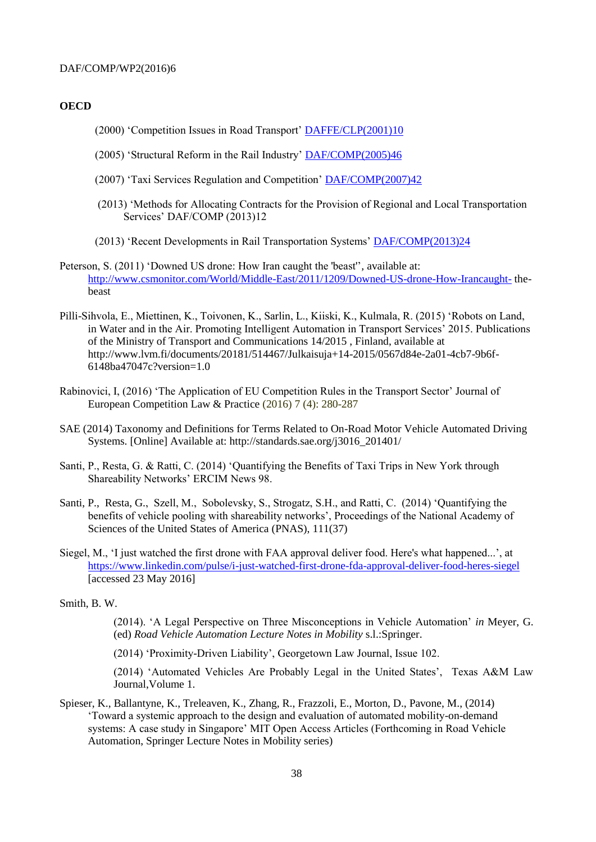#### **OECD**

- (2000) 'Competition Issues in Road Transport' [DAFFE/CLP\(2001\)10](http://www2.oecd.org/oecdinfo/info.aspx?app=OLIScoteEN&Ref=DAFFE/CLP(2001)10)
- (2005) 'Structural Reform in the Rail Industry' [DAF/COMP\(2005\)46](http://www2.oecd.org/oecdinfo/info.aspx?app=OLIScoteEN&Ref=DAF/COMP(2005)46)
- (2007) 'Taxi Services Regulation and Competition' [DAF/COMP\(2007\)42](http://www2.oecd.org/oecdinfo/info.aspx?app=OLIScoteEN&Ref=DAF/COMP(2007)42)
- (2013) 'Methods for Allocating Contracts for the Provision of Regional and Local Transportation Services' DAF/COMP (2013)12
- (2013) 'Recent Developments in Rail Transportation Systems' [DAF/COMP\(2013\)24](http://www2.oecd.org/oecdinfo/info.aspx?app=OLIScoteEN&Ref=DAF/COMP(2013)24)
- Peterson, S. (2011) 'Downed US drone: How Iran caught the 'beast''*,* available at: <http://www.csmonitor.com/World/Middle-East/2011/1209/Downed-US-drone-How-Irancaught-> thebeast
- Pilli-Sihvola, E., Miettinen, K., Toivonen, K., Sarlin, L., Kiiski, K., Kulmala, R. (2015) 'Robots on Land, in Water and in the Air. Promoting Intelligent Automation in Transport Services' 2015. Publications of the Ministry of Transport and Communications 14/2015 , Finland, available at http://www.lvm.fi/documents/20181/514467/Julkaisuja+14-2015/0567d84e-2a01-4cb7-9b6f-6148ba47047c?version=1.0
- Rabinovici, I, (2016) 'The Application of EU Competition Rules in the Transport Sector' Journal of European Competition Law & Practice (2016) 7 (4): 280-287
- SAE (2014) Taxonomy and Definitions for Terms Related to On-Road Motor Vehicle Automated Driving Systems. [Online] Available at: http://standards.sae.org/j3016\_201401/
- Santi, P., Resta, G. & Ratti, C. (2014) 'Quantifying the Benefits of Taxi Trips in New York through Shareability Networks' ERCIM News 98.
- Santi, P., Resta, G., Szell, M., Sobolevsky, S., Strogatz, S.H., and Ratti, C. (2014) 'Quantifying the benefits of vehicle pooling with shareability networks', Proceedings of the National Academy of Sciences of the United States of America (PNAS), 111(37)
- Siegel, M., 'I just watched the first drone with FAA approval deliver food. Here's what happened...', at <https://www.linkedin.com/pulse/i-just-watched-first-drone-fda-approval-deliver-food-heres-siegel> [accessed 23 May 2016]

Smith, B. W.

(2014). 'A Legal Perspective on Three Misconceptions in Vehicle Automation' *in* Meyer, G. (ed) *Road Vehicle Automation Lecture Notes in Mobility* s.l.:Springer.

(2014) 'Proximity-Driven Liability', Georgetown Law Journal, Issue 102.

(2014) 'Automated Vehicles Are Probably Legal in the United States', Texas A&M Law Journal,Volume 1.

Spieser, K., Ballantyne, K., Treleaven, K., Zhang, R., Frazzoli, E., Morton, D., Pavone, M., (2014) 'Toward a systemic approach to the design and evaluation of automated mobility-on-demand systems: A case study in Singapore' MIT Open Access Articles (Forthcoming in Road Vehicle Automation, Springer Lecture Notes in Mobility series)